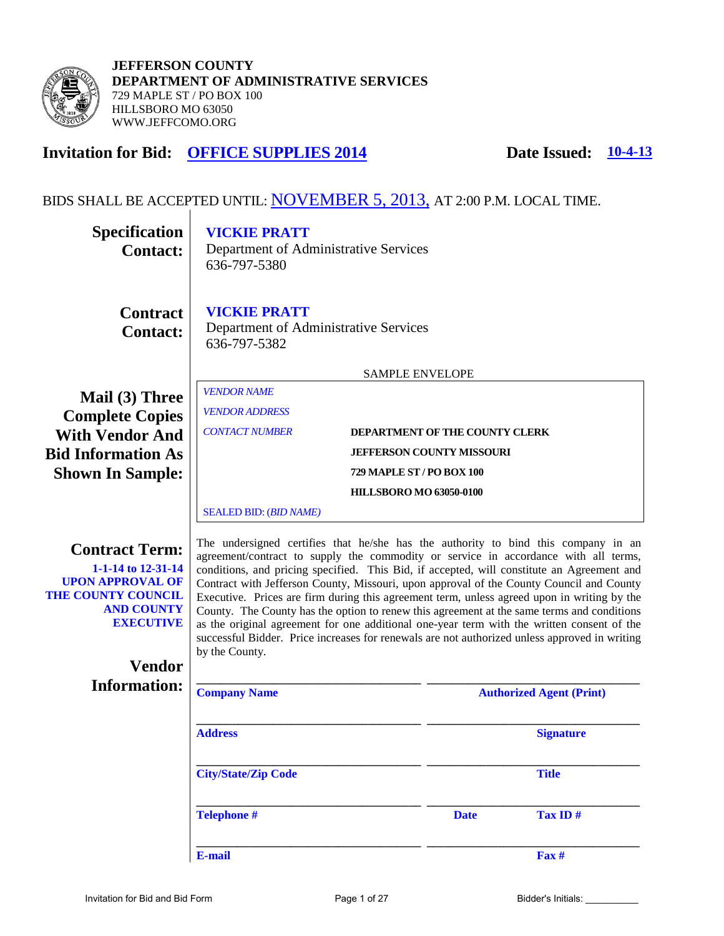

**JEFFERSON COUNTY DEPARTMENT OF ADMINISTRATIVE SERVICES**  729 MAPLE ST / PO BOX 100 HILLSBORO MO 63050 WWW.JEFFCOMO.ORG

## **Invitation for Bid: OFFICE SUPPLIES 2014 Date Issued: 10-4-13**

#### BIDS SHALL BE ACCEPTED UNTIL: NOVEMBER 5, 2013, AT 2:00 P.M. LOCAL TIME.

| <b>Specification</b><br><b>Contact:</b>                                                                                                      | <b>VICKIE PRATT</b><br>Department of Administrative Services<br>636-797-5380                                                                                                                                                                                                                                                                                                                                                                                                                                                                                                                                                                                                                                                                                                      |                                                                    |                                 |
|----------------------------------------------------------------------------------------------------------------------------------------------|-----------------------------------------------------------------------------------------------------------------------------------------------------------------------------------------------------------------------------------------------------------------------------------------------------------------------------------------------------------------------------------------------------------------------------------------------------------------------------------------------------------------------------------------------------------------------------------------------------------------------------------------------------------------------------------------------------------------------------------------------------------------------------------|--------------------------------------------------------------------|---------------------------------|
| <b>Contract</b><br><b>Contact:</b>                                                                                                           | <b>VICKIE PRATT</b><br>Department of Administrative Services<br>636-797-5382                                                                                                                                                                                                                                                                                                                                                                                                                                                                                                                                                                                                                                                                                                      |                                                                    |                                 |
|                                                                                                                                              |                                                                                                                                                                                                                                                                                                                                                                                                                                                                                                                                                                                                                                                                                                                                                                                   | <b>SAMPLE ENVELOPE</b>                                             |                                 |
| Mail (3) Three<br><b>Complete Copies</b><br><b>With Vendor And</b><br><b>Bid Information As</b>                                              | <b>VENDOR NAME</b><br><b>VENDOR ADDRESS</b><br><b>CONTACT NUMBER</b>                                                                                                                                                                                                                                                                                                                                                                                                                                                                                                                                                                                                                                                                                                              | DEPARTMENT OF THE COUNTY CLERK<br><b>JEFFERSON COUNTY MISSOURI</b> |                                 |
| <b>Shown In Sample:</b>                                                                                                                      |                                                                                                                                                                                                                                                                                                                                                                                                                                                                                                                                                                                                                                                                                                                                                                                   | 729 MAPLE ST / PO BOX 100                                          |                                 |
|                                                                                                                                              |                                                                                                                                                                                                                                                                                                                                                                                                                                                                                                                                                                                                                                                                                                                                                                                   | <b>HILLSBORO MO 63050-0100</b>                                     |                                 |
|                                                                                                                                              | <b>SEALED BID: (BID NAME)</b>                                                                                                                                                                                                                                                                                                                                                                                                                                                                                                                                                                                                                                                                                                                                                     |                                                                    |                                 |
| <b>Contract Term:</b><br>1-1-14 to 12-31-14<br><b>UPON APPROVAL OF</b><br><b>THE COUNTY COUNCIL</b><br><b>AND COUNTY</b><br><b>EXECUTIVE</b> | The undersigned certifies that he/she has the authority to bind this company in an<br>agreement/contract to supply the commodity or service in accordance with all terms,<br>conditions, and pricing specified. This Bid, if accepted, will constitute an Agreement and<br>Contract with Jefferson County, Missouri, upon approval of the County Council and County<br>Executive. Prices are firm during this agreement term, unless agreed upon in writing by the<br>County. The County has the option to renew this agreement at the same terms and conditions<br>as the original agreement for one additional one-year term with the written consent of the<br>successful Bidder. Price increases for renewals are not authorized unless approved in writing<br>by the County. |                                                                    |                                 |
| <b>Vendor</b><br><b>Information:</b>                                                                                                         |                                                                                                                                                                                                                                                                                                                                                                                                                                                                                                                                                                                                                                                                                                                                                                                   |                                                                    |                                 |
|                                                                                                                                              | <b>Company Name</b>                                                                                                                                                                                                                                                                                                                                                                                                                                                                                                                                                                                                                                                                                                                                                               |                                                                    | <b>Authorized Agent (Print)</b> |
|                                                                                                                                              | <b>Address</b>                                                                                                                                                                                                                                                                                                                                                                                                                                                                                                                                                                                                                                                                                                                                                                    |                                                                    | <b>Signature</b>                |
|                                                                                                                                              | <b>City/State/Zip Code</b>                                                                                                                                                                                                                                                                                                                                                                                                                                                                                                                                                                                                                                                                                                                                                        |                                                                    | <b>Title</b>                    |
|                                                                                                                                              | <b>Telephone #</b>                                                                                                                                                                                                                                                                                                                                                                                                                                                                                                                                                                                                                                                                                                                                                                | <b>Date</b>                                                        | Tax ID#                         |
|                                                                                                                                              | E-mail                                                                                                                                                                                                                                                                                                                                                                                                                                                                                                                                                                                                                                                                                                                                                                            |                                                                    | $\mathbf{F}$ ax #               |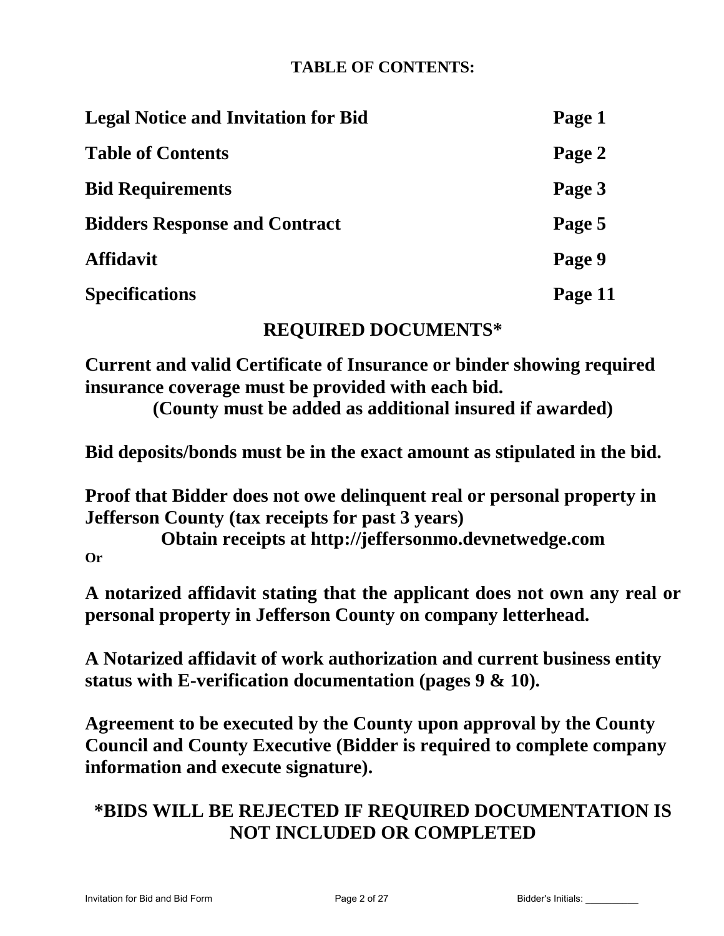## **TABLE OF CONTENTS:**

| <b>Legal Notice and Invitation for Bid</b> | Page 1  |
|--------------------------------------------|---------|
| <b>Table of Contents</b>                   | Page 2  |
| <b>Bid Requirements</b>                    | Page 3  |
| <b>Bidders Response and Contract</b>       | Page 5  |
| <b>Affidavit</b>                           | Page 9  |
| <b>Specifications</b>                      | Page 11 |

## **REQUIRED DOCUMENTS\***

**Current and valid Certificate of Insurance or binder showing required insurance coverage must be provided with each bid. (County must be added as additional insured if awarded)**

**Bid deposits/bonds must be in the exact amount as stipulated in the bid.** 

**Proof that Bidder does not owe delinquent real or personal property in Jefferson County (tax receipts for past 3 years)** 

**Obtain receipts at http://jeffersonmo.devnetwedge.com Or** 

**A notarized affidavit stating that the applicant does not own any real or personal property in Jefferson County on company letterhead.** 

**A Notarized affidavit of work authorization and current business entity status with E-verification documentation (pages 9 & 10).** 

**Agreement to be executed by the County upon approval by the County Council and County Executive (Bidder is required to complete company information and execute signature).** 

# **\*BIDS WILL BE REJECTED IF REQUIRED DOCUMENTATION IS NOT INCLUDED OR COMPLETED**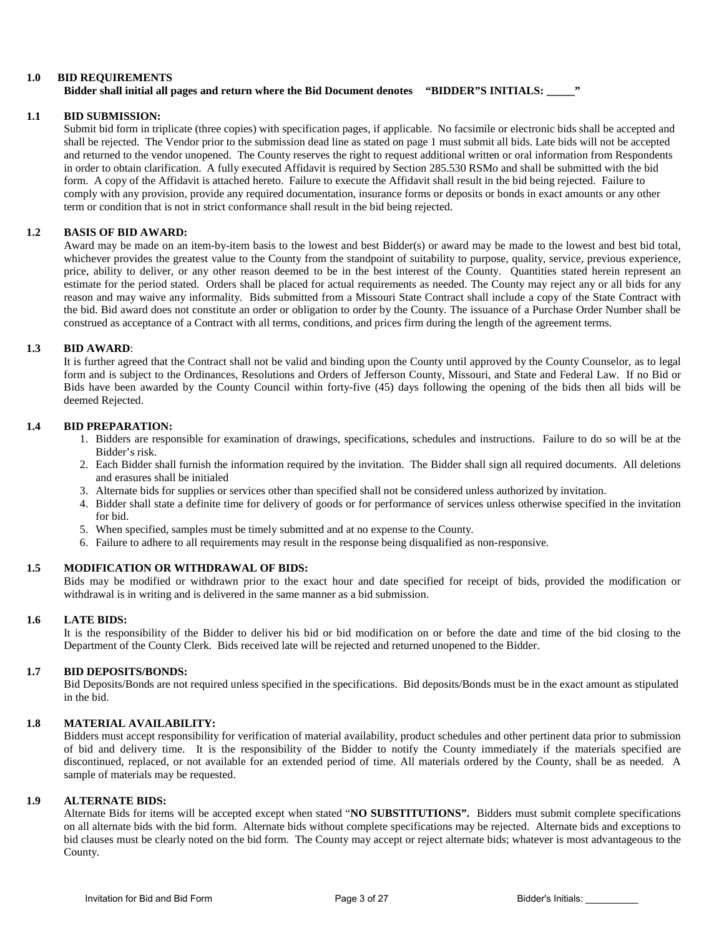#### **1.0 BID REQUIREMENTS Bidder shall initial all pages and return where the Bid Document denotes "BIDDER"S INITIALS: \_\_\_\_\_"**

#### **1.1 BID SUBMISSION:**

Submit bid form in triplicate (three copies) with specification pages, if applicable. No facsimile or electronic bids shall be accepted and shall be rejected. The Vendor prior to the submission dead line as stated on page 1 must submit all bids. Late bids will not be accepted and returned to the vendor unopened. The County reserves the right to request additional written or oral information from Respondents in order to obtain clarification. A fully executed Affidavit is required by Section 285.530 RSMo and shall be submitted with the bid form. A copy of the Affidavit is attached hereto. Failure to execute the Affidavit shall result in the bid being rejected. Failure to comply with any provision, provide any required documentation, insurance forms or deposits or bonds in exact amounts or any other term or condition that is not in strict conformance shall result in the bid being rejected.

#### **1.2 BASIS OF BID AWARD:**

Award may be made on an item-by-item basis to the lowest and best Bidder(s) or award may be made to the lowest and best bid total, whichever provides the greatest value to the County from the standpoint of suitability to purpose, quality, service, previous experience, price, ability to deliver, or any other reason deemed to be in the best interest of the County. Quantities stated herein represent an estimate for the period stated. Orders shall be placed for actual requirements as needed. The County may reject any or all bids for any reason and may waive any informality. Bids submitted from a Missouri State Contract shall include a copy of the State Contract with the bid. Bid award does not constitute an order or obligation to order by the County. The issuance of a Purchase Order Number shall be construed as acceptance of a Contract with all terms, conditions, and prices firm during the length of the agreement terms.

#### **1.3 BID AWARD**:

It is further agreed that the Contract shall not be valid and binding upon the County until approved by the County Counselor, as to legal form and is subject to the Ordinances, Resolutions and Orders of Jefferson County, Missouri, and State and Federal Law. If no Bid or Bids have been awarded by the County Council within forty-five (45) days following the opening of the bids then all bids will be deemed Rejected.

#### **1.4 BID PREPARATION:**

- 1. Bidders are responsible for examination of drawings, specifications, schedules and instructions. Failure to do so will be at the Bidder's risk.
- 2. Each Bidder shall furnish the information required by the invitation. The Bidder shall sign all required documents. All deletions and erasures shall be initialed
- 3. Alternate bids for supplies or services other than specified shall not be considered unless authorized by invitation.
- 4. Bidder shall state a definite time for delivery of goods or for performance of services unless otherwise specified in the invitation for bid.
- 5. When specified, samples must be timely submitted and at no expense to the County.
- 6. Failure to adhere to all requirements may result in the response being disqualified as non-responsive.

#### **1.5 MODIFICATION OR WITHDRAWAL OF BIDS:**

Bids may be modified or withdrawn prior to the exact hour and date specified for receipt of bids, provided the modification or withdrawal is in writing and is delivered in the same manner as a bid submission.

#### **1.6 LATE BIDS:**

It is the responsibility of the Bidder to deliver his bid or bid modification on or before the date and time of the bid closing to the Department of the County Clerk. Bids received late will be rejected and returned unopened to the Bidder.

#### **1.7 BID DEPOSITS/BONDS:**

Bid Deposits/Bonds are not required unless specified in the specifications. Bid deposits/Bonds must be in the exact amount as stipulated in the bid.

#### **1.8 MATERIAL AVAILABILITY:**

Bidders must accept responsibility for verification of material availability, product schedules and other pertinent data prior to submission of bid and delivery time. It is the responsibility of the Bidder to notify the County immediately if the materials specified are discontinued, replaced, or not available for an extended period of time. All materials ordered by the County, shall be as needed. A sample of materials may be requested.

#### **1.9 ALTERNATE BIDS:**

Alternate Bids for items will be accepted except when stated "**NO SUBSTITUTIONS".** Bidders must submit complete specifications on all alternate bids with the bid form. Alternate bids without complete specifications may be rejected. Alternate bids and exceptions to bid clauses must be clearly noted on the bid form. The County may accept or reject alternate bids; whatever is most advantageous to the County.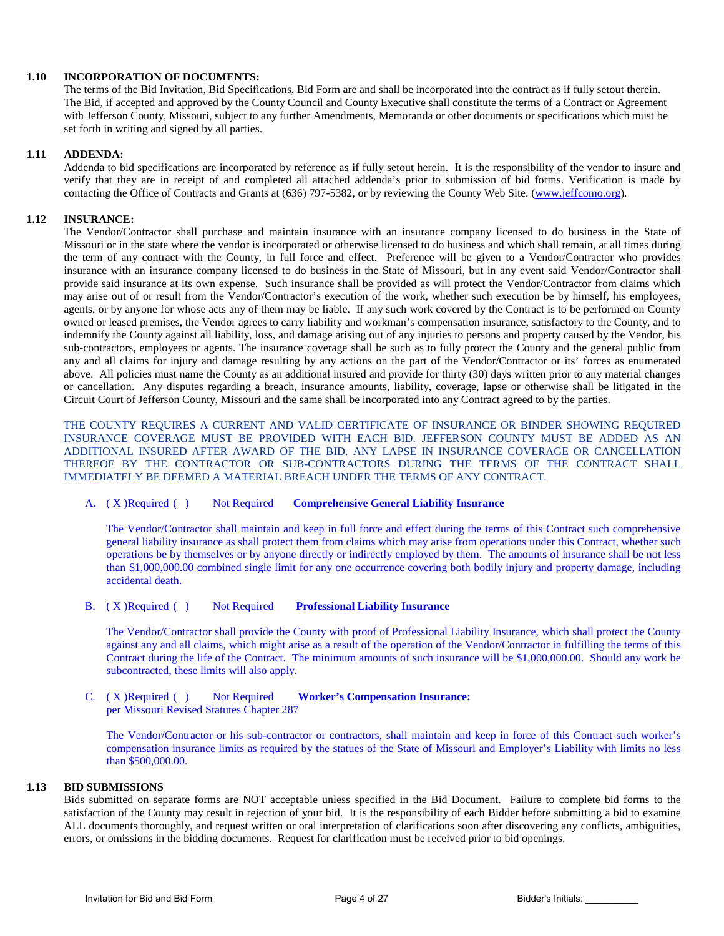#### **1.10 INCORPORATION OF DOCUMENTS:**

The terms of the Bid Invitation, Bid Specifications, Bid Form are and shall be incorporated into the contract as if fully setout therein. The Bid, if accepted and approved by the County Council and County Executive shall constitute the terms of a Contract or Agreement with Jefferson County, Missouri, subject to any further Amendments, Memoranda or other documents or specifications which must be set forth in writing and signed by all parties.

#### **1.11 ADDENDA:**

Addenda to bid specifications are incorporated by reference as if fully setout herein. It is the responsibility of the vendor to insure and verify that they are in receipt of and completed all attached addenda's prior to submission of bid forms. Verification is made by contacting the Office of Contracts and Grants at (636) 797-5382, or by reviewing the County Web Site. [\(www.jeffcomo.org\)](http://www.jeffcomo.org/).

#### **1.12 INSURANCE:**

The Vendor/Contractor shall purchase and maintain insurance with an insurance company licensed to do business in the State of Missouri or in the state where the vendor is incorporated or otherwise licensed to do business and which shall remain, at all times during the term of any contract with the County, in full force and effect. Preference will be given to a Vendor/Contractor who provides insurance with an insurance company licensed to do business in the State of Missouri, but in any event said Vendor/Contractor shall provide said insurance at its own expense. Such insurance shall be provided as will protect the Vendor/Contractor from claims which may arise out of or result from the Vendor/Contractor's execution of the work, whether such execution be by himself, his employees, agents, or by anyone for whose acts any of them may be liable. If any such work covered by the Contract is to be performed on County owned or leased premises, the Vendor agrees to carry liability and workman's compensation insurance, satisfactory to the County, and to indemnify the County against all liability, loss, and damage arising out of any injuries to persons and property caused by the Vendor, his sub-contractors, employees or agents. The insurance coverage shall be such as to fully protect the County and the general public from any and all claims for injury and damage resulting by any actions on the part of the Vendor/Contractor or its' forces as enumerated above. All policies must name the County as an additional insured and provide for thirty (30) days written prior to any material changes or cancellation. Any disputes regarding a breach, insurance amounts, liability, coverage, lapse or otherwise shall be litigated in the Circuit Court of Jefferson County, Missouri and the same shall be incorporated into any Contract agreed to by the parties.

THE COUNTY REQUIRES A CURRENT AND VALID CERTIFICATE OF INSURANCE OR BINDER SHOWING REQUIRED INSURANCE COVERAGE MUST BE PROVIDED WITH EACH BID. JEFFERSON COUNTY MUST BE ADDED AS AN ADDITIONAL INSURED AFTER AWARD OF THE BID. ANY LAPSE IN INSURANCE COVERAGE OR CANCELLATION THEREOF BY THE CONTRACTOR OR SUB-CONTRACTORS DURING THE TERMS OF THE CONTRACT SHALL IMMEDIATELY BE DEEMED A MATERIAL BREACH UNDER THE TERMS OF ANY CONTRACT.

#### A. ( X )Required ( ) Not Required **Comprehensive General Liability Insurance**

The Vendor/Contractor shall maintain and keep in full force and effect during the terms of this Contract such comprehensive general liability insurance as shall protect them from claims which may arise from operations under this Contract, whether such operations be by themselves or by anyone directly or indirectly employed by them. The amounts of insurance shall be not less than \$1,000,000.00 combined single limit for any one occurrence covering both bodily injury and property damage, including accidental death.

#### B. ( X )Required ( ) Not Required **Professional Liability Insurance**

The Vendor/Contractor shall provide the County with proof of Professional Liability Insurance, which shall protect the County against any and all claims, which might arise as a result of the operation of the Vendor/Contractor in fulfilling the terms of this Contract during the life of the Contract. The minimum amounts of such insurance will be \$1,000,000.00. Should any work be subcontracted, these limits will also apply.

#### C. ( X )Required ( ) Not Required **Worker's Compensation Insurance:**  per Missouri Revised Statutes Chapter 287

The Vendor/Contractor or his sub-contractor or contractors, shall maintain and keep in force of this Contract such worker's compensation insurance limits as required by the statues of the State of Missouri and Employer's Liability with limits no less than \$500,000.00.

#### **1.13 BID SUBMISSIONS**

Bids submitted on separate forms are NOT acceptable unless specified in the Bid Document. Failure to complete bid forms to the satisfaction of the County may result in rejection of your bid. It is the responsibility of each Bidder before submitting a bid to examine ALL documents thoroughly, and request written or oral interpretation of clarifications soon after discovering any conflicts, ambiguities, errors, or omissions in the bidding documents. Request for clarification must be received prior to bid openings.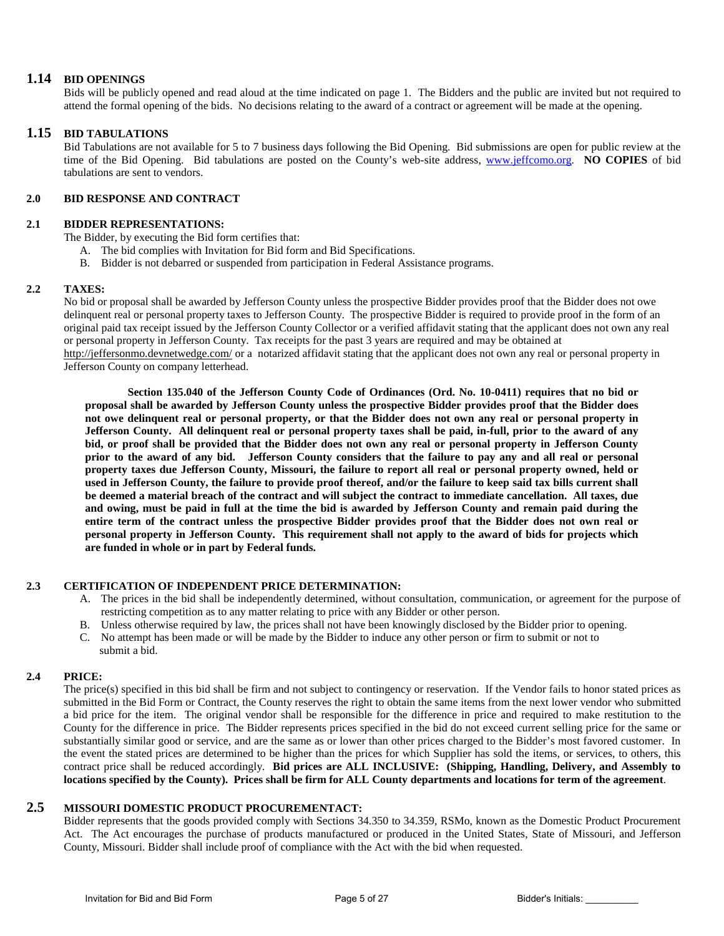#### **1.14 BID OPENINGS**

Bids will be publicly opened and read aloud at the time indicated on page 1. The Bidders and the public are invited but not required to attend the formal opening of the bids. No decisions relating to the award of a contract or agreement will be made at the opening.

#### **1.15 BID TABULATIONS**

 Bid Tabulations are not available for 5 to 7 business days following the Bid Opening. Bid submissions are open for public review at the time of the Bid Opening. Bid tabulations are posted on the County's web-site address, [www.jeffcomo.org.](http://www.jeffcomo.org/) **NO COPIES** of bid tabulations are sent to vendors.

#### **2.0 BID RESPONSE AND CONTRACT**

#### **2.1 BIDDER REPRESENTATIONS:**

The Bidder, by executing the Bid form certifies that:

- A. The bid complies with Invitation for Bid form and Bid Specifications.
- B. Bidder is not debarred or suspended from participation in Federal Assistance programs.

#### **2.2 TAXES:**

No bid or proposal shall be awarded by Jefferson County unless the prospective Bidder provides proof that the Bidder does not owe delinquent real or personal property taxes to Jefferson County. The prospective Bidder is required to provide proof in the form of an original paid tax receipt issued by the Jefferson County Collector or a verified affidavit stating that the applicant does not own any real or personal property in Jefferson County. Tax receipts for the past 3 years are required and may be obtained at <http://jeffersonmo.devnetwedge.com/> or a notarized affidavit stating that the applicant does not own any real or personal property in Jefferson County on company letterhead.

**Section 135.040 of the Jefferson County Code of Ordinances (Ord. No. 10-0411) requires that no bid or proposal shall be awarded by Jefferson County unless the prospective Bidder provides proof that the Bidder does not owe delinquent real or personal property, or that the Bidder does not own any real or personal property in Jefferson County. All delinquent real or personal property taxes shall be paid, in-full, prior to the award of any bid, or proof shall be provided that the Bidder does not own any real or personal property in Jefferson County prior to the award of any bid. Jefferson County considers that the failure to pay any and all real or personal property taxes due Jefferson County, Missouri, the failure to report all real or personal property owned, held or used in Jefferson County, the failure to provide proof thereof, and/or the failure to keep said tax bills current shall be deemed a material breach of the contract and will subject the contract to immediate cancellation. All taxes, due and owing, must be paid in full at the time the bid is awarded by Jefferson County and remain paid during the entire term of the contract unless the prospective Bidder provides proof that the Bidder does not own real or personal property in Jefferson County. This requirement shall not apply to the award of bids for projects which are funded in whole or in part by Federal funds.**

#### **2.3 CERTIFICATION OF INDEPENDENT PRICE DETERMINATION:**

- A. The prices in the bid shall be independently determined, without consultation, communication, or agreement for the purpose of restricting competition as to any matter relating to price with any Bidder or other person.
- B. Unless otherwise required by law, the prices shall not have been knowingly disclosed by the Bidder prior to opening.
- C. No attempt has been made or will be made by the Bidder to induce any other person or firm to submit or not to submit a bid.

#### **2.4 PRICE:**

The price(s) specified in this bid shall be firm and not subject to contingency or reservation. If the Vendor fails to honor stated prices as submitted in the Bid Form or Contract, the County reserves the right to obtain the same items from the next lower vendor who submitted a bid price for the item. The original vendor shall be responsible for the difference in price and required to make restitution to the County for the difference in price. The Bidder represents prices specified in the bid do not exceed current selling price for the same or substantially similar good or service, and are the same as or lower than other prices charged to the Bidder's most favored customer. In the event the stated prices are determined to be higher than the prices for which Supplier has sold the items, or services, to others, this contract price shall be reduced accordingly. **Bid prices are ALL INCLUSIVE: (Shipping, Handling, Delivery, and Assembly to locations specified by the County). Prices shall be firm for ALL County departments and locations for term of the agreement**.

### **2.5 MISSOURI DOMESTIC PRODUCT PROCUREMENTACT:**

Bidder represents that the goods provided comply with Sections 34.350 to 34.359, RSMo, known as the Domestic Product Procurement Act. The Act encourages the purchase of products manufactured or produced in the United States, State of Missouri, and Jefferson County, Missouri. Bidder shall include proof of compliance with the Act with the bid when requested.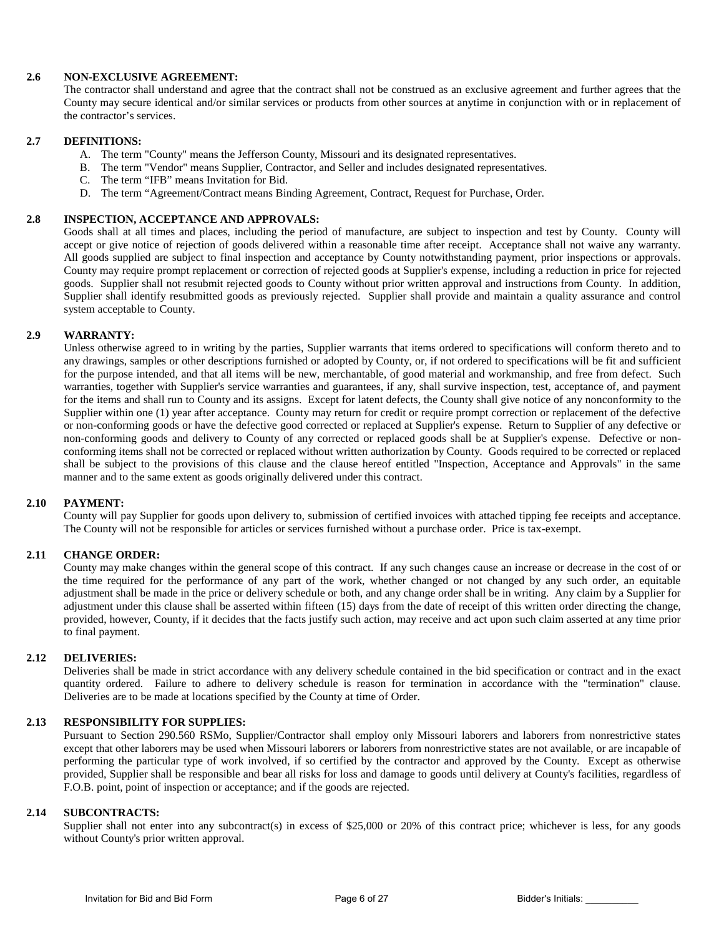#### **2.6 NON-EXCLUSIVE AGREEMENT:**

The contractor shall understand and agree that the contract shall not be construed as an exclusive agreement and further agrees that the County may secure identical and/or similar services or products from other sources at anytime in conjunction with or in replacement of the contractor's services.

#### **2.7 DEFINITIONS:**

- A. The term "County" means the Jefferson County, Missouri and its designated representatives.
- B. The term "Vendor" means Supplier, Contractor, and Seller and includes designated representatives.
- C. The term "IFB" means Invitation for Bid.
- D. The term "Agreement/Contract means Binding Agreement, Contract, Request for Purchase, Order.

#### **2.8 INSPECTION, ACCEPTANCE AND APPROVALS:**

Goods shall at all times and places, including the period of manufacture, are subject to inspection and test by County. County will accept or give notice of rejection of goods delivered within a reasonable time after receipt. Acceptance shall not waive any warranty. All goods supplied are subject to final inspection and acceptance by County notwithstanding payment, prior inspections or approvals. County may require prompt replacement or correction of rejected goods at Supplier's expense, including a reduction in price for rejected goods. Supplier shall not resubmit rejected goods to County without prior written approval and instructions from County. In addition, Supplier shall identify resubmitted goods as previously rejected. Supplier shall provide and maintain a quality assurance and control system acceptable to County.

#### **2.9 WARRANTY:**

Unless otherwise agreed to in writing by the parties, Supplier warrants that items ordered to specifications will conform thereto and to any drawings, samples or other descriptions furnished or adopted by County, or, if not ordered to specifications will be fit and sufficient for the purpose intended, and that all items will be new, merchantable, of good material and workmanship, and free from defect. Such warranties, together with Supplier's service warranties and guarantees, if any, shall survive inspection, test, acceptance of, and payment for the items and shall run to County and its assigns. Except for latent defects, the County shall give notice of any nonconformity to the Supplier within one (1) year after acceptance. County may return for credit or require prompt correction or replacement of the defective or non-conforming goods or have the defective good corrected or replaced at Supplier's expense. Return to Supplier of any defective or non-conforming goods and delivery to County of any corrected or replaced goods shall be at Supplier's expense. Defective or nonconforming items shall not be corrected or replaced without written authorization by County. Goods required to be corrected or replaced shall be subject to the provisions of this clause and the clause hereof entitled "Inspection, Acceptance and Approvals" in the same manner and to the same extent as goods originally delivered under this contract.

#### **2.10 PAYMENT:**

County will pay Supplier for goods upon delivery to, submission of certified invoices with attached tipping fee receipts and acceptance. The County will not be responsible for articles or services furnished without a purchase order. Price is tax-exempt.

#### **2.11 CHANGE ORDER:**

County may make changes within the general scope of this contract. If any such changes cause an increase or decrease in the cost of or the time required for the performance of any part of the work, whether changed or not changed by any such order, an equitable adjustment shall be made in the price or delivery schedule or both, and any change order shall be in writing. Any claim by a Supplier for adjustment under this clause shall be asserted within fifteen (15) days from the date of receipt of this written order directing the change, provided, however, County, if it decides that the facts justify such action, may receive and act upon such claim asserted at any time prior to final payment.

#### **2.12 DELIVERIES:**

Deliveries shall be made in strict accordance with any delivery schedule contained in the bid specification or contract and in the exact quantity ordered. Failure to adhere to delivery schedule is reason for termination in accordance with the "termination" clause. Deliveries are to be made at locations specified by the County at time of Order.

#### **2.13 RESPONSIBILITY FOR SUPPLIES:**

Pursuant to Section 290.560 RSMo, Supplier/Contractor shall employ only Missouri laborers and laborers from nonrestrictive states except that other laborers may be used when Missouri laborers or laborers from nonrestrictive states are not available, or are incapable of performing the particular type of work involved, if so certified by the contractor and approved by the County. Except as otherwise provided, Supplier shall be responsible and bear all risks for loss and damage to goods until delivery at County's facilities, regardless of F.O.B. point, point of inspection or acceptance; and if the goods are rejected.

#### **2.14 SUBCONTRACTS:**

Supplier shall not enter into any subcontract(s) in excess of \$25,000 or 20% of this contract price; whichever is less, for any goods without County's prior written approval.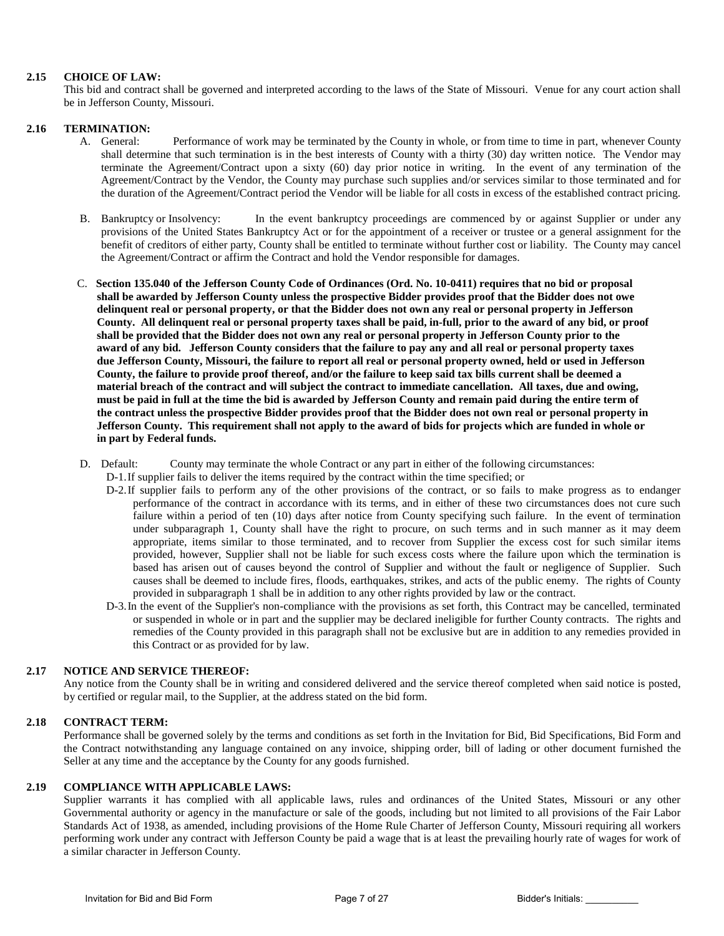#### **2.15 CHOICE OF LAW:**

This bid and contract shall be governed and interpreted according to the laws of the State of Missouri. Venue for any court action shall be in Jefferson County, Missouri.

#### **2.16 TERMINATION:**

- A. General: Performance of work may be terminated by the County in whole, or from time to time in part, whenever County shall determine that such termination is in the best interests of County with a thirty (30) day written notice. The Vendor may terminate the Agreement/Contract upon a sixty (60) day prior notice in writing. In the event of any termination of the Agreement/Contract by the Vendor, the County may purchase such supplies and/or services similar to those terminated and for the duration of the Agreement/Contract period the Vendor will be liable for all costs in excess of the established contract pricing.
- B. Bankruptcy or Insolvency: In the event bankruptcy proceedings are commenced by or against Supplier or under any provisions of the United States Bankruptcy Act or for the appointment of a receiver or trustee or a general assignment for the benefit of creditors of either party, County shall be entitled to terminate without further cost or liability. The County may cancel the Agreement/Contract or affirm the Contract and hold the Vendor responsible for damages.
- C. **Section 135.040 of the Jefferson County Code of Ordinances (Ord. No. 10-0411) requires that no bid or proposal shall be awarded by Jefferson County unless the prospective Bidder provides proof that the Bidder does not owe delinquent real or personal property, or that the Bidder does not own any real or personal property in Jefferson County. All delinquent real or personal property taxes shall be paid, in-full, prior to the award of any bid, or proof shall be provided that the Bidder does not own any real or personal property in Jefferson County prior to the award of any bid. Jefferson County considers that the failure to pay any and all real or personal property taxes due Jefferson County, Missouri, the failure to report all real or personal property owned, held or used in Jefferson County, the failure to provide proof thereof, and/or the failure to keep said tax bills current shall be deemed a material breach of the contract and will subject the contract to immediate cancellation. All taxes, due and owing, must be paid in full at the time the bid is awarded by Jefferson County and remain paid during the entire term of the contract unless the prospective Bidder provides proof that the Bidder does not own real or personal property in Jefferson County. This requirement shall not apply to the award of bids for projects which are funded in whole or in part by Federal funds.**
- D. Default: County may terminate the whole Contract or any part in either of the following circumstances:
	- D-1.If supplier fails to deliver the items required by the contract within the time specified; or
	- D-2.If supplier fails to perform any of the other provisions of the contract, or so fails to make progress as to endanger performance of the contract in accordance with its terms, and in either of these two circumstances does not cure such failure within a period of ten (10) days after notice from County specifying such failure. In the event of termination under subparagraph 1, County shall have the right to procure, on such terms and in such manner as it may deem appropriate, items similar to those terminated, and to recover from Supplier the excess cost for such similar items provided, however, Supplier shall not be liable for such excess costs where the failure upon which the termination is based has arisen out of causes beyond the control of Supplier and without the fault or negligence of Supplier. Such causes shall be deemed to include fires, floods, earthquakes, strikes, and acts of the public enemy. The rights of County provided in subparagraph 1 shall be in addition to any other rights provided by law or the contract.
	- D-3.In the event of the Supplier's non-compliance with the provisions as set forth, this Contract may be cancelled, terminated or suspended in whole or in part and the supplier may be declared ineligible for further County contracts. The rights and remedies of the County provided in this paragraph shall not be exclusive but are in addition to any remedies provided in this Contract or as provided for by law.

#### **2.17 NOTICE AND SERVICE THEREOF:**

Any notice from the County shall be in writing and considered delivered and the service thereof completed when said notice is posted, by certified or regular mail, to the Supplier, at the address stated on the bid form.

#### **2.18 CONTRACT TERM:**

Performance shall be governed solely by the terms and conditions as set forth in the Invitation for Bid, Bid Specifications, Bid Form and the Contract notwithstanding any language contained on any invoice, shipping order, bill of lading or other document furnished the Seller at any time and the acceptance by the County for any goods furnished.

#### **2.19 COMPLIANCE WITH APPLICABLE LAWS:**

Supplier warrants it has complied with all applicable laws, rules and ordinances of the United States, Missouri or any other Governmental authority or agency in the manufacture or sale of the goods, including but not limited to all provisions of the Fair Labor Standards Act of 1938, as amended, including provisions of the Home Rule Charter of Jefferson County, Missouri requiring all workers performing work under any contract with Jefferson County be paid a wage that is at least the prevailing hourly rate of wages for work of a similar character in Jefferson County.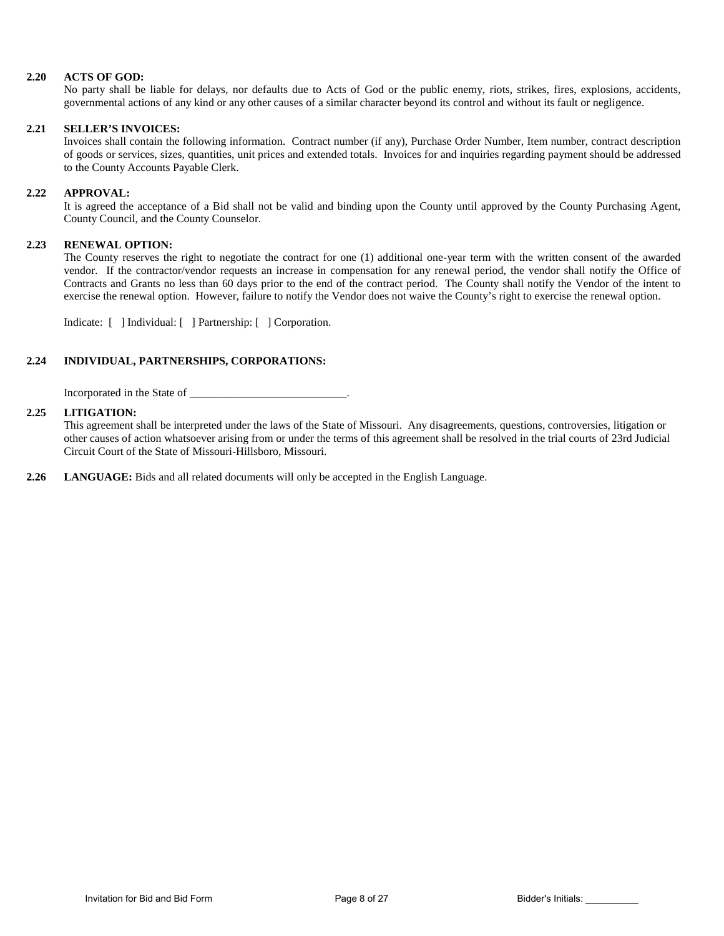#### **2.20 ACTS OF GOD:**

No party shall be liable for delays, nor defaults due to Acts of God or the public enemy, riots, strikes, fires, explosions, accidents, governmental actions of any kind or any other causes of a similar character beyond its control and without its fault or negligence.

#### **2.21 SELLER'S INVOICES:**

Invoices shall contain the following information. Contract number (if any), Purchase Order Number, Item number, contract description of goods or services, sizes, quantities, unit prices and extended totals. Invoices for and inquiries regarding payment should be addressed to the County Accounts Payable Clerk.

#### **2.22 APPROVAL:**

It is agreed the acceptance of a Bid shall not be valid and binding upon the County until approved by the County Purchasing Agent, County Council, and the County Counselor.

#### **2.23 RENEWAL OPTION:**

The County reserves the right to negotiate the contract for one (1) additional one-year term with the written consent of the awarded vendor. If the contractor/vendor requests an increase in compensation for any renewal period, the vendor shall notify the Office of Contracts and Grants no less than 60 days prior to the end of the contract period. The County shall notify the Vendor of the intent to exercise the renewal option. However, failure to notify the Vendor does not waive the County's right to exercise the renewal option.

Indicate: [ ] Individual: [ ] Partnership: [ ] Corporation.

#### **2.24 INDIVIDUAL, PARTNERSHIPS, CORPORATIONS:**

Incorporated in the State of \_\_\_\_\_\_\_\_\_\_\_\_\_\_\_\_\_\_\_\_\_\_\_\_\_\_\_\_\_\_\_\_\_.

#### **2.25 LITIGATION:**

This agreement shall be interpreted under the laws of the State of Missouri. Any disagreements, questions, controversies, litigation or other causes of action whatsoever arising from or under the terms of this agreement shall be resolved in the trial courts of 23rd Judicial Circuit Court of the State of Missouri-Hillsboro, Missouri.

**2.26 LANGUAGE:** Bids and all related documents will only be accepted in the English Language.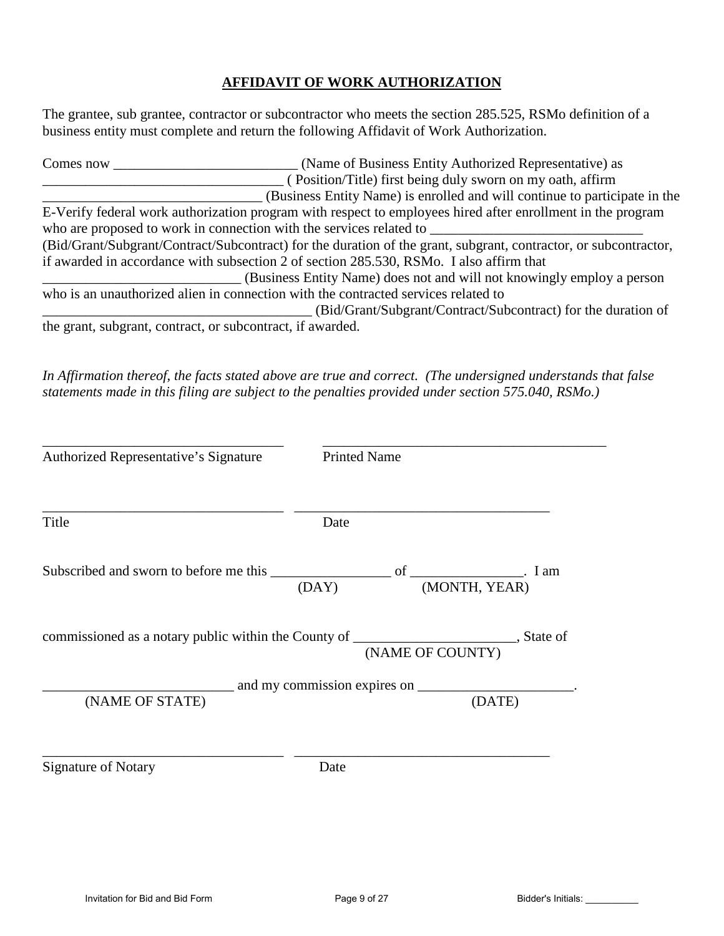## **AFFIDAVIT OF WORK AUTHORIZATION**

The grantee, sub grantee, contractor or subcontractor who meets the section 285.525, RSMo definition of a business entity must complete and return the following Affidavit of Work Authorization.

| Comes now | (Name of Business Entity Authorized Representative) as                                                           |
|-----------|------------------------------------------------------------------------------------------------------------------|
|           | (Position/Title) first being duly sworn on my oath, affirm                                                       |
|           | (Business Entity Name) is enrolled and will continue to participate in the                                       |
|           | E-Verify federal work authorization program with respect to employees hired after enrollment in the program      |
|           | who are proposed to work in connection with the services related to                                              |
|           | (Bid/Grant/Subgrant/Contract/Subcontract) for the duration of the grant, subgrant, contractor, or subcontractor, |
|           | if awarded in accordance with subsection 2 of section 285.530, RSMo. I also affirm that                          |
|           | (Business Entity Name) does not and will not knowingly employ a person                                           |
|           | who is an unauthorized alien in connection with the contracted services related to                               |
|           | (Bid/Grant/Subgrant/Contract/Subcontract) for the duration of                                                    |
|           | the grant, subgrant, contract, or subcontract, if awarded.                                                       |

*In Affirmation thereof, the facts stated above are true and correct. (The undersigned understands that false statements made in this filing are subject to the penalties provided under section 575.040, RSMo.)* 

| Authorized Representative's Signature                                                     | <b>Printed Name</b> |                  |
|-------------------------------------------------------------------------------------------|---------------------|------------------|
| Title                                                                                     | Date                |                  |
|                                                                                           |                     |                  |
| commissioned as a notary public within the County of __________________________, State of |                     | (NAME OF COUNTY) |
|                                                                                           |                     |                  |
| (NAME OF STATE)                                                                           |                     | (DATE)           |
| <b>Signature of Notary</b>                                                                | Date                |                  |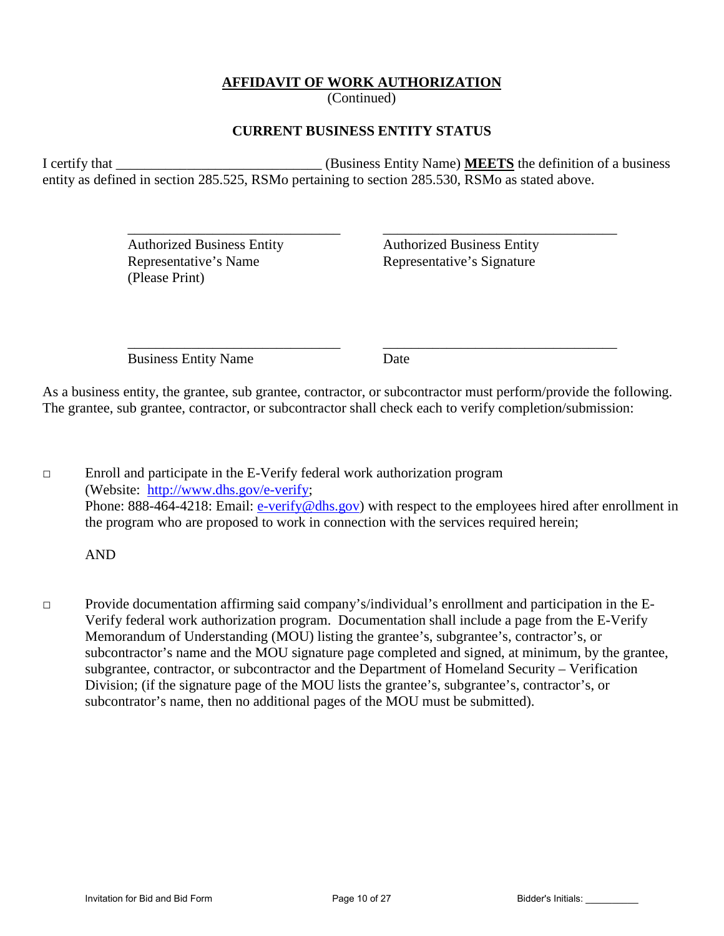## **AFFIDAVIT OF WORK AUTHORIZATION**

(Continued)

### **CURRENT BUSINESS ENTITY STATUS**

I certify that \_\_\_\_\_\_\_\_\_\_\_\_\_\_\_\_\_\_\_\_\_\_\_\_\_\_\_\_\_ (Business Entity Name) **MEETS** the definition of a business entity as defined in section 285.525, RSMo pertaining to section 285.530, RSMo as stated above.

 $\overline{\phantom{a}}$  ,  $\overline{\phantom{a}}$  ,  $\overline{\phantom{a}}$  ,  $\overline{\phantom{a}}$  ,  $\overline{\phantom{a}}$  ,  $\overline{\phantom{a}}$  ,  $\overline{\phantom{a}}$  ,  $\overline{\phantom{a}}$  ,  $\overline{\phantom{a}}$  ,  $\overline{\phantom{a}}$  ,  $\overline{\phantom{a}}$  ,  $\overline{\phantom{a}}$  ,  $\overline{\phantom{a}}$  ,  $\overline{\phantom{a}}$  ,  $\overline{\phantom{a}}$  ,  $\overline{\phantom{a}}$ 

Representative's Name Representative's Signature (Please Print)

Authorized Business Entity Authorized Business Entity

 $\overline{\phantom{a}}$  ,  $\overline{\phantom{a}}$  ,  $\overline{\phantom{a}}$  ,  $\overline{\phantom{a}}$  ,  $\overline{\phantom{a}}$  ,  $\overline{\phantom{a}}$  ,  $\overline{\phantom{a}}$  ,  $\overline{\phantom{a}}$  ,  $\overline{\phantom{a}}$  ,  $\overline{\phantom{a}}$  ,  $\overline{\phantom{a}}$  ,  $\overline{\phantom{a}}$  ,  $\overline{\phantom{a}}$  ,  $\overline{\phantom{a}}$  ,  $\overline{\phantom{a}}$  ,  $\overline{\phantom{a}}$ Business Entity Name Date

As a business entity, the grantee, sub grantee, contractor, or subcontractor must perform/provide the following. The grantee, sub grantee, contractor, or subcontractor shall check each to verify completion/submission:

□ Enroll and participate in the E-Verify federal work authorization program (Website: [http://www.dhs.gov/e-verify;](http://www.dhs.gov/e-verify) Phone: 888-464-4218: Email: [e-verify@dhs.gov\)](mailto:e-verify@dhs.gov) with respect to the employees hired after enrollment in the program who are proposed to work in connection with the services required herein;

AND

□ Provide documentation affirming said company's/individual's enrollment and participation in the E-Verify federal work authorization program. Documentation shall include a page from the E-Verify Memorandum of Understanding (MOU) listing the grantee's, subgrantee's, contractor's, or subcontractor's name and the MOU signature page completed and signed, at minimum, by the grantee, subgrantee, contractor, or subcontractor and the Department of Homeland Security – Verification Division; (if the signature page of the MOU lists the grantee's, subgrantee's, contractor's, or subcontrator's name, then no additional pages of the MOU must be submitted).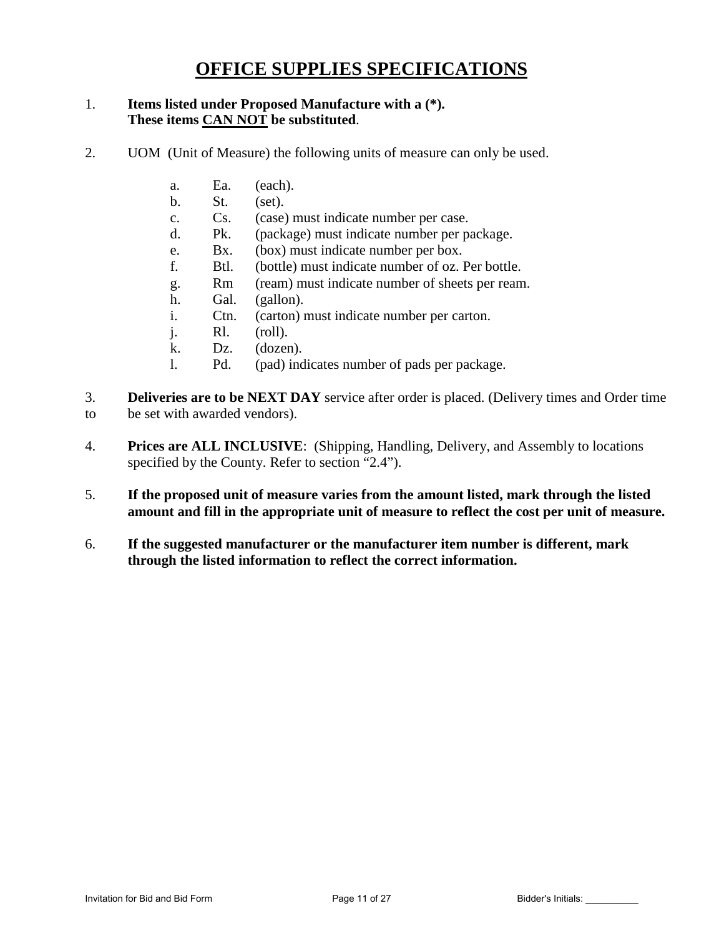# **OFFICE SUPPLIES SPECIFICATIONS**

### 1. **Items listed under Proposed Manufacture with a (\*). These items CAN NOT be substituted**.

- 2. UOM (Unit of Measure) the following units of measure can only be used.
	- a. Ea. (each).
	- b. St. (set).
	- c. Cs. (case) must indicate number per case.
	- d. Pk. (package) must indicate number per package.
	- e. Bx. (box) must indicate number per box.
	- f. Btl. (bottle) must indicate number of oz. Per bottle.
	- g. Rm (ream) must indicate number of sheets per ream.
	- h. Gal. (gallon).
	- i. Ctn. (carton) must indicate number per carton.
	- j. Rl. (roll).
	- k. Dz. (dozen).
	- l. Pd. (pad) indicates number of pads per package.
- 3. **Deliveries are to be NEXT DAY** service after order is placed. (Delivery times and Order time to be set with awarded vendors).
- 4. **Prices are ALL INCLUSIVE**: (Shipping, Handling, Delivery, and Assembly to locations specified by the County. Refer to section "2.4").
- 5. **If the proposed unit of measure varies from the amount listed, mark through the listed amount and fill in the appropriate unit of measure to reflect the cost per unit of measure.**
- 6. **If the suggested manufacturer or the manufacturer item number is different, mark through the listed information to reflect the correct information.**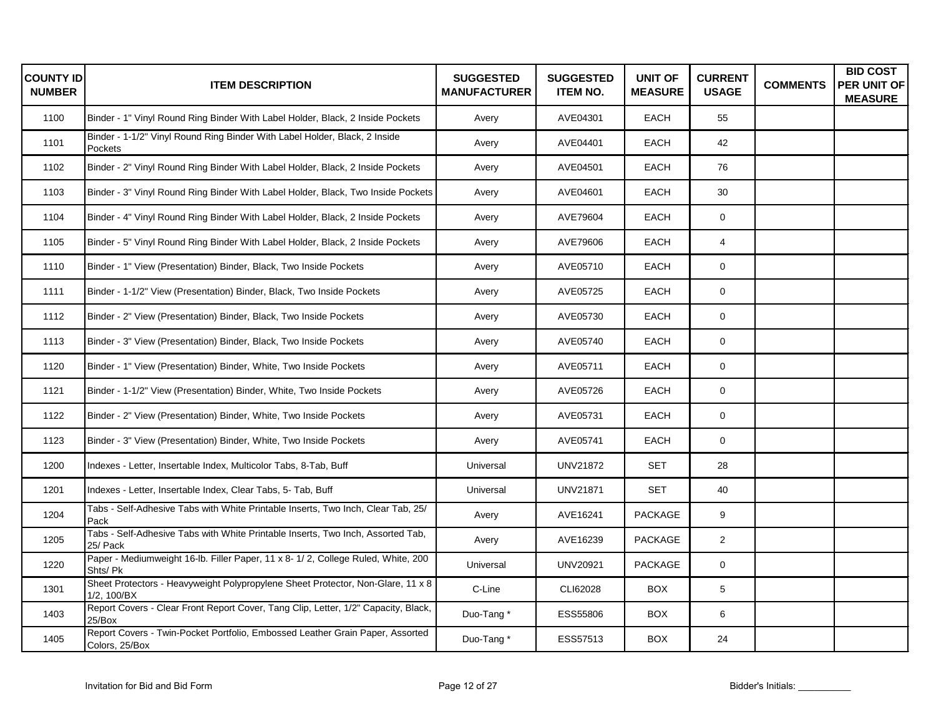| <b>COUNTY ID</b><br><b>NUMBER</b> | <b>ITEM DESCRIPTION</b>                                                                         | <b>SUGGESTED</b><br><b>MANUFACTURER</b> | <b>SUGGESTED</b><br><b>ITEM NO.</b> | <b>UNIT OF</b><br><b>MEASURE</b> | <b>CURRENT</b><br><b>USAGE</b> | <b>COMMENTS</b> | <b>BID COST</b><br>PER UNIT OF<br><b>MEASURE</b> |
|-----------------------------------|-------------------------------------------------------------------------------------------------|-----------------------------------------|-------------------------------------|----------------------------------|--------------------------------|-----------------|--------------------------------------------------|
| 1100                              | Binder - 1" Vinyl Round Ring Binder With Label Holder, Black, 2 Inside Pockets                  | Avery                                   | AVE04301                            | <b>EACH</b>                      | 55                             |                 |                                                  |
| 1101                              | Binder - 1-1/2" Vinyl Round Ring Binder With Label Holder, Black, 2 Inside<br>Pockets           | Avery                                   | AVE04401                            | <b>EACH</b>                      | 42                             |                 |                                                  |
| 1102                              | Binder - 2" Vinyl Round Ring Binder With Label Holder, Black, 2 Inside Pockets                  | Avery                                   | AVE04501                            | EACH                             | 76                             |                 |                                                  |
| 1103                              | Binder - 3" Vinyl Round Ring Binder With Label Holder, Black, Two Inside Pockets                | Avery                                   | AVE04601                            | <b>EACH</b>                      | 30                             |                 |                                                  |
| 1104                              | Binder - 4" Vinyl Round Ring Binder With Label Holder, Black, 2 Inside Pockets                  | Avery                                   | AVE79604                            | <b>EACH</b>                      | $\mathbf 0$                    |                 |                                                  |
| 1105                              | Binder - 5" Vinyl Round Ring Binder With Label Holder, Black, 2 Inside Pockets                  | Avery                                   | AVE79606                            | <b>EACH</b>                      | 4                              |                 |                                                  |
| 1110                              | Binder - 1" View (Presentation) Binder, Black, Two Inside Pockets                               | Avery                                   | AVE05710                            | EACH                             | $\mathbf 0$                    |                 |                                                  |
| 1111                              | Binder - 1-1/2" View (Presentation) Binder, Black, Two Inside Pockets                           | Avery                                   | AVE05725                            | <b>EACH</b>                      | 0                              |                 |                                                  |
| 1112                              | Binder - 2" View (Presentation) Binder, Black, Two Inside Pockets                               | Avery                                   | AVE05730                            | <b>EACH</b>                      | $\mathbf 0$                    |                 |                                                  |
| 1113                              | Binder - 3" View (Presentation) Binder, Black, Two Inside Pockets                               | Avery                                   | AVE05740                            | EACH                             | $\mathbf 0$                    |                 |                                                  |
| 1120                              | Binder - 1" View (Presentation) Binder, White, Two Inside Pockets                               | Avery                                   | AVE05711                            | EACH                             | $\mathsf 0$                    |                 |                                                  |
| 1121                              | Binder - 1-1/2" View (Presentation) Binder, White, Two Inside Pockets                           | Avery                                   | AVE05726                            | EACH                             | $\mathsf 0$                    |                 |                                                  |
| 1122                              | Binder - 2" View (Presentation) Binder, White, Two Inside Pockets                               | Avery                                   | AVE05731                            | <b>EACH</b>                      | $\mathbf 0$                    |                 |                                                  |
| 1123                              | Binder - 3" View (Presentation) Binder, White, Two Inside Pockets                               | Avery                                   | AVE05741                            | <b>EACH</b>                      | $\mathbf 0$                    |                 |                                                  |
| 1200                              | Indexes - Letter, Insertable Index, Multicolor Tabs, 8-Tab, Buff                                | Universal                               | <b>UNV21872</b>                     | <b>SET</b>                       | 28                             |                 |                                                  |
| 1201                              | Indexes - Letter, Insertable Index, Clear Tabs, 5- Tab, Buff                                    | Universal                               | <b>UNV21871</b>                     | <b>SET</b>                       | 40                             |                 |                                                  |
| 1204                              | Tabs - Self-Adhesive Tabs with White Printable Inserts, Two Inch, Clear Tab, 25/<br>Pack        | Avery                                   | AVE16241                            | <b>PACKAGE</b>                   | 9                              |                 |                                                  |
| 1205                              | Tabs - Self-Adhesive Tabs with White Printable Inserts, Two Inch, Assorted Tab,<br>25/ Pack     | Avery                                   | AVE16239                            | <b>PACKAGE</b>                   | $\overline{2}$                 |                 |                                                  |
| 1220                              | Paper - Mediumweight 16-lb. Filler Paper, 11 x 8- 1/ 2, College Ruled, White, 200<br>Shts/ Pk   | Universal                               | <b>UNV20921</b>                     | <b>PACKAGE</b>                   | $\mathsf 0$                    |                 |                                                  |
| 1301                              | Sheet Protectors - Heavyweight Polypropylene Sheet Protector, Non-Glare, 11 x 8<br>1/2, 100/BX  | C-Line                                  | CLI62028                            | <b>BOX</b>                       | 5                              |                 |                                                  |
| 1403                              | Report Covers - Clear Front Report Cover, Tang Clip, Letter, 1/2" Capacity, Black,<br>25/Box    | Duo-Tang*                               | ESS55806                            | <b>BOX</b>                       | 6                              |                 |                                                  |
| 1405                              | Report Covers - Twin-Pocket Portfolio, Embossed Leather Grain Paper, Assorted<br>Colors, 25/Box | Duo-Tang*                               | ESS57513                            | <b>BOX</b>                       | 24                             |                 |                                                  |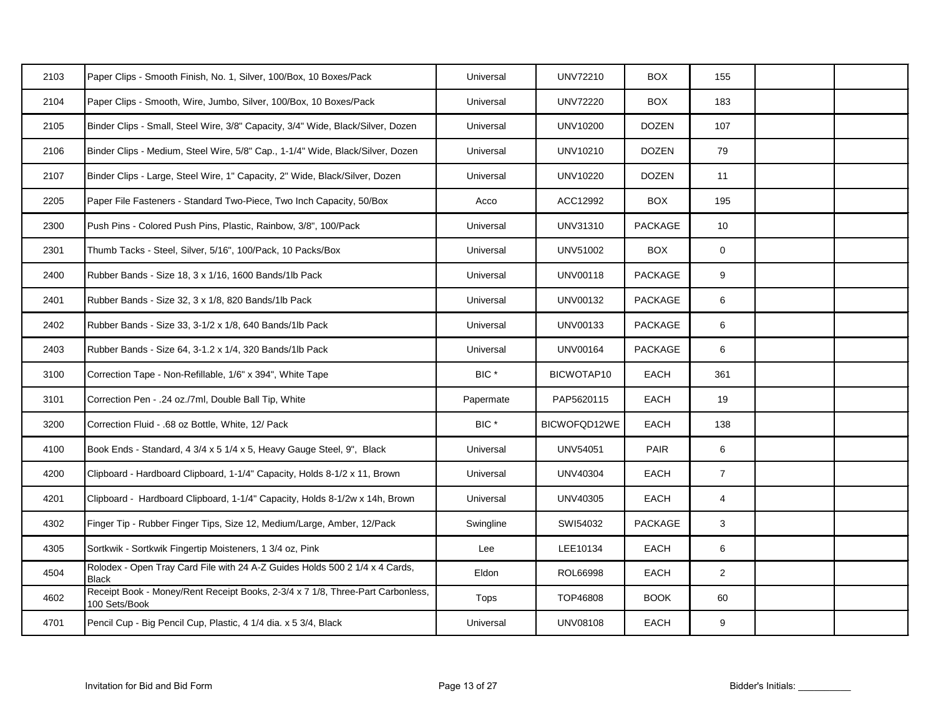| 2103 | Paper Clips - Smooth Finish, No. 1, Silver, 100/Box, 10 Boxes/Pack                              | Universal        | UNV72210        | <b>BOX</b>     | 155             |  |
|------|-------------------------------------------------------------------------------------------------|------------------|-----------------|----------------|-----------------|--|
| 2104 | Paper Clips - Smooth, Wire, Jumbo, Silver, 100/Box, 10 Boxes/Pack                               | Universal        | <b>UNV72220</b> | <b>BOX</b>     | 183             |  |
| 2105 | Binder Clips - Small, Steel Wire, 3/8" Capacity, 3/4" Wide, Black/Silver, Dozen                 | Universal        | UNV10200        | <b>DOZEN</b>   | 107             |  |
| 2106 | Binder Clips - Medium, Steel Wire, 5/8" Cap., 1-1/4" Wide, Black/Silver, Dozen                  | Universal        | UNV10210        | <b>DOZEN</b>   | 79              |  |
| 2107 | Binder Clips - Large, Steel Wire, 1" Capacity, 2" Wide, Black/Silver, Dozen                     | Universal        | UNV10220        | <b>DOZEN</b>   | 11              |  |
| 2205 | Paper File Fasteners - Standard Two-Piece, Two Inch Capacity, 50/Box                            | Acco             | ACC12992        | <b>BOX</b>     | 195             |  |
| 2300 | Push Pins - Colored Push Pins, Plastic, Rainbow, 3/8", 100/Pack                                 | Universal        | UNV31310        | <b>PACKAGE</b> | 10              |  |
| 2301 | Thumb Tacks - Steel, Silver, 5/16", 100/Pack, 10 Packs/Box                                      | Universal        | UNV51002        | <b>BOX</b>     | $\mathbf 0$     |  |
| 2400 | Rubber Bands - Size 18, 3 x 1/16, 1600 Bands/1lb Pack                                           | Universal        | <b>UNV00118</b> | PACKAGE        | 9               |  |
| 2401 | Rubber Bands - Size 32, 3 x 1/8, 820 Bands/1lb Pack                                             | Universal        | UNV00132        | PACKAGE        | 6               |  |
| 2402 | Rubber Bands - Size 33, 3-1/2 x 1/8, 640 Bands/1lb Pack                                         | Universal        | UNV00133        | <b>PACKAGE</b> | 6               |  |
| 2403 | Rubber Bands - Size 64, 3-1.2 x 1/4, 320 Bands/1lb Pack                                         | Universal        | <b>UNV00164</b> | PACKAGE        | 6               |  |
| 3100 | Correction Tape - Non-Refillable, 1/6" x 394", White Tape                                       | BIC <sup>*</sup> | BICWOTAP10      | EACH           | 361             |  |
| 3101 | Correction Pen - .24 oz./7ml, Double Ball Tip, White                                            | Papermate        | PAP5620115      | <b>EACH</b>    | 19              |  |
| 3200 | Correction Fluid - .68 oz Bottle, White, 12/ Pack                                               | BIC <sup>*</sup> | BICWOFQD12WE    | EACH           | 138             |  |
| 4100 | Book Ends - Standard, 4 3/4 x 5 1/4 x 5, Heavy Gauge Steel, 9", Black                           | Universal        | UNV54051        | PAIR           | $6\phantom{.0}$ |  |
| 4200 | Clipboard - Hardboard Clipboard, 1-1/4" Capacity, Holds 8-1/2 x 11, Brown                       | Universal        | <b>UNV40304</b> | EACH           | $\overline{7}$  |  |
| 4201 | Clipboard - Hardboard Clipboard, 1-1/4" Capacity, Holds 8-1/2w x 14h, Brown                     | Universal        | UNV40305        | EACH           | $\overline{4}$  |  |
| 4302 | Finger Tip - Rubber Finger Tips, Size 12, Medium/Large, Amber, 12/Pack                          | Swingline        | SWI54032        | <b>PACKAGE</b> | 3               |  |
| 4305 | Sortkwik - Sortkwik Fingertip Moisteners, 1 3/4 oz, Pink                                        | Lee              | LEE10134        | EACH           | $6\phantom{.0}$ |  |
| 4504 | Rolodex - Open Tray Card File with 24 A-Z Guides Holds 500 2 1/4 x 4 Cards,<br><b>Black</b>     | Eldon            | ROL66998        | EACH           | $\overline{2}$  |  |
| 4602 | Receipt Book - Money/Rent Receipt Books, 2-3/4 x 7 1/8, Three-Part Carbonless,<br>100 Sets/Book | Tops             | TOP46808        | <b>BOOK</b>    | 60              |  |
| 4701 | Pencil Cup - Big Pencil Cup, Plastic, 4 1/4 dia. x 5 3/4, Black                                 | Universal        | <b>UNV08108</b> | EACH           | 9               |  |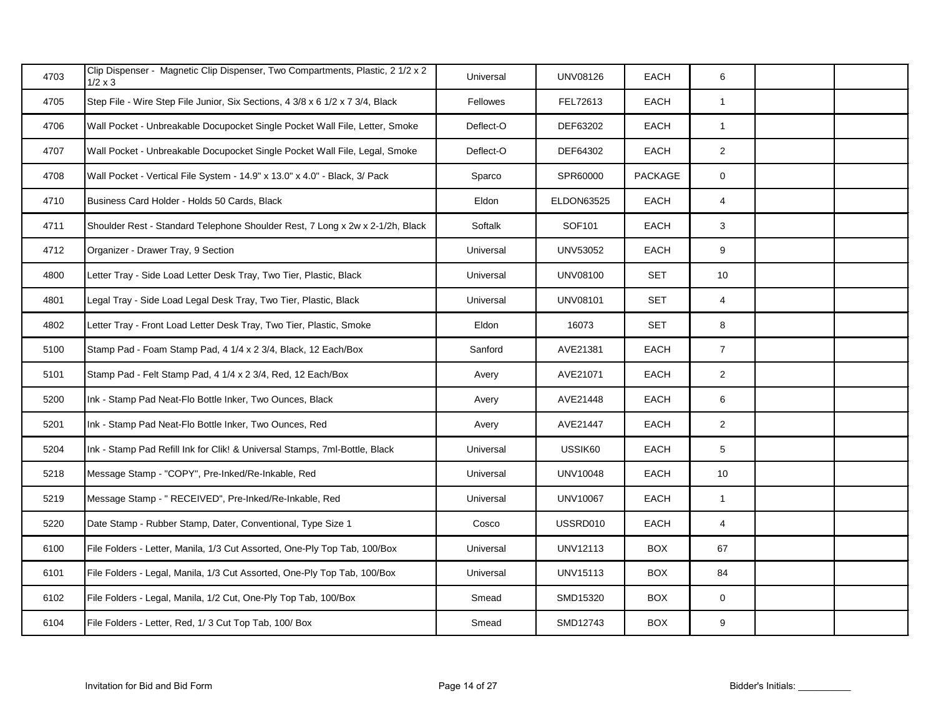| 4703 | Clip Dispenser - Magnetic Clip Dispenser, Two Compartments, Plastic, 2 1/2 x 2<br>$1/2 \times 3$ | Universal | <b>UNV08126</b>   | EACH           | 6               |  |
|------|--------------------------------------------------------------------------------------------------|-----------|-------------------|----------------|-----------------|--|
| 4705 | Step File - Wire Step File Junior, Six Sections, 4 3/8 x 6 1/2 x 7 3/4, Black                    | Fellowes  | FEL72613          | EACH           | $\mathbf{1}$    |  |
| 4706 | Wall Pocket - Unbreakable Docupocket Single Pocket Wall File, Letter, Smoke                      | Deflect-O | DEF63202          | EACH           | $\mathbf{1}$    |  |
| 4707 | Wall Pocket - Unbreakable Docupocket Single Pocket Wall File, Legal, Smoke                       | Deflect-O | DEF64302          | EACH           | $\overline{2}$  |  |
| 4708 | Wall Pocket - Vertical File System - 14.9" x 13.0" x 4.0" - Black, 3/ Pack                       | Sparco    | SPR60000          | <b>PACKAGE</b> | $\mathbf 0$     |  |
| 4710 | Business Card Holder - Holds 50 Cards, Black                                                     | Eldon     | <b>ELDON63525</b> | EACH           | $\overline{4}$  |  |
| 4711 | Shoulder Rest - Standard Telephone Shoulder Rest, 7 Long x 2w x 2-1/2h, Black                    | Softalk   | SOF101            | EACH           | 3               |  |
| 4712 | Organizer - Drawer Tray, 9 Section                                                               | Universal | UNV53052          | EACH           | 9               |  |
| 4800 | Letter Tray - Side Load Letter Desk Tray, Two Tier, Plastic, Black                               | Universal | UNV08100          | <b>SET</b>     | 10 <sup>1</sup> |  |
| 4801 | Legal Tray - Side Load Legal Desk Tray, Two Tier, Plastic, Black                                 | Universal | <b>UNV08101</b>   | <b>SET</b>     | $\overline{4}$  |  |
| 4802 | Letter Tray - Front Load Letter Desk Tray, Two Tier, Plastic, Smoke                              | Eldon     | 16073             | <b>SET</b>     | 8               |  |
| 5100 | Stamp Pad - Foam Stamp Pad, 4 1/4 x 2 3/4, Black, 12 Each/Box                                    | Sanford   | AVE21381          | EACH           | $\overline{7}$  |  |
| 5101 | Stamp Pad - Felt Stamp Pad, 4 1/4 x 2 3/4, Red, 12 Each/Box                                      | Avery     | AVE21071          | EACH           | $\overline{2}$  |  |
| 5200 | Ink - Stamp Pad Neat-Flo Bottle Inker, Two Ounces, Black                                         | Avery     | AVE21448          | <b>EACH</b>    | $6\phantom{.0}$ |  |
| 5201 | Ink - Stamp Pad Neat-Flo Bottle Inker, Two Ounces, Red                                           | Avery     | AVE21447          | EACH           | $\overline{2}$  |  |
| 5204 | Ink - Stamp Pad Refill Ink for Clik! & Universal Stamps, 7ml-Bottle, Black                       | Universal | USSIK60           | EACH           | $5\phantom{.0}$ |  |
| 5218 | Message Stamp - "COPY", Pre-Inked/Re-Inkable, Red                                                | Universal | <b>UNV10048</b>   | <b>EACH</b>    | 10              |  |
| 5219 | Message Stamp - " RECEIVED", Pre-Inked/Re-Inkable, Red                                           | Universal | <b>UNV10067</b>   | EACH           | $\mathbf{1}$    |  |
| 5220 | Date Stamp - Rubber Stamp, Dater, Conventional, Type Size 1                                      | Cosco     | USSRD010          | EACH           | $\overline{4}$  |  |
| 6100 | File Folders - Letter, Manila, 1/3 Cut Assorted, One-Ply Top Tab, 100/Box                        | Universal | UNV12113          | <b>BOX</b>     | 67              |  |
| 6101 | File Folders - Legal, Manila, 1/3 Cut Assorted, One-Ply Top Tab, 100/Box                         | Universal | UNV15113          | <b>BOX</b>     | 84              |  |
| 6102 | File Folders - Legal, Manila, 1/2 Cut, One-Ply Top Tab, 100/Box                                  | Smead     | SMD15320          | <b>BOX</b>     | $\mathbf 0$     |  |
| 6104 | File Folders - Letter, Red, 1/3 Cut Top Tab, 100/ Box                                            | Smead     | SMD12743          | <b>BOX</b>     | 9               |  |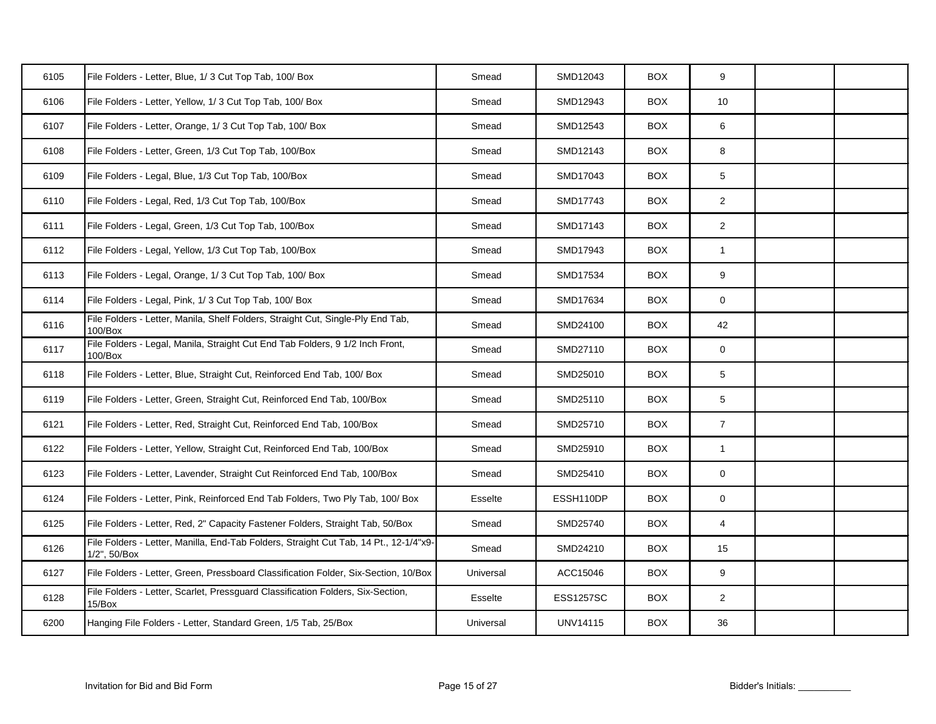| 6105 | File Folders - Letter, Blue, 1/3 Cut Top Tab, 100/Box                                                 | Smead     | SMD12043         | <b>BOX</b> | 9               |  |
|------|-------------------------------------------------------------------------------------------------------|-----------|------------------|------------|-----------------|--|
| 6106 | File Folders - Letter, Yellow, 1/3 Cut Top Tab, 100/ Box                                              | Smead     | SMD12943         | <b>BOX</b> | 10 <sup>1</sup> |  |
| 6107 | File Folders - Letter, Orange, 1/3 Cut Top Tab, 100/ Box                                              | Smead     | SMD12543         | <b>BOX</b> | 6               |  |
| 6108 | File Folders - Letter, Green, 1/3 Cut Top Tab, 100/Box                                                | Smead     | SMD12143         | <b>BOX</b> | 8               |  |
| 6109 | File Folders - Legal, Blue, 1/3 Cut Top Tab, 100/Box                                                  | Smead     | SMD17043         | <b>BOX</b> | 5               |  |
| 6110 | File Folders - Legal, Red, 1/3 Cut Top Tab, 100/Box                                                   | Smead     | SMD17743         | <b>BOX</b> | $\overline{2}$  |  |
| 6111 | File Folders - Legal, Green, 1/3 Cut Top Tab, 100/Box                                                 | Smead     | SMD17143         | <b>BOX</b> | $\overline{2}$  |  |
| 6112 | File Folders - Legal, Yellow, 1/3 Cut Top Tab, 100/Box                                                | Smead     | SMD17943         | <b>BOX</b> | $\mathbf{1}$    |  |
| 6113 | File Folders - Legal, Orange, 1/3 Cut Top Tab, 100/ Box                                               | Smead     | SMD17534         | <b>BOX</b> | 9               |  |
| 6114 | File Folders - Legal, Pink, 1/3 Cut Top Tab, 100/ Box                                                 | Smead     | SMD17634         | <b>BOX</b> | $\mathbf 0$     |  |
| 6116 | File Folders - Letter, Manila, Shelf Folders, Straight Cut, Single-Ply End Tab,<br>100/Box            | Smead     | SMD24100         | <b>BOX</b> | 42              |  |
| 6117 | File Folders - Legal, Manila, Straight Cut End Tab Folders, 9 1/2 Inch Front,<br>100/Box              | Smead     | SMD27110         | <b>BOX</b> | $\mathsf{O}$    |  |
| 6118 | File Folders - Letter, Blue, Straight Cut, Reinforced End Tab, 100/ Box                               | Smead     | SMD25010         | <b>BOX</b> | 5               |  |
| 6119 | File Folders - Letter, Green, Straight Cut, Reinforced End Tab, 100/Box                               | Smead     | SMD25110         | <b>BOX</b> | 5               |  |
| 6121 | File Folders - Letter, Red, Straight Cut, Reinforced End Tab, 100/Box                                 | Smead     | SMD25710         | <b>BOX</b> | $\overline{7}$  |  |
| 6122 | File Folders - Letter, Yellow, Straight Cut, Reinforced End Tab, 100/Box                              | Smead     | SMD25910         | <b>BOX</b> | $\mathbf{1}$    |  |
| 6123 | File Folders - Letter, Lavender, Straight Cut Reinforced End Tab, 100/Box                             | Smead     | SMD25410         | <b>BOX</b> | $\mathbf 0$     |  |
| 6124 | File Folders - Letter, Pink, Reinforced End Tab Folders, Two Ply Tab, 100/ Box                        | Esselte   | ESSH110DP        | <b>BOX</b> | $\mathbf 0$     |  |
| 6125 | File Folders - Letter, Red, 2" Capacity Fastener Folders, Straight Tab, 50/Box                        | Smead     | SMD25740         | <b>BOX</b> | $\overline{4}$  |  |
| 6126 | File Folders - Letter, Manilla, End-Tab Folders, Straight Cut Tab, 14 Pt., 12-1/4"x9-<br>1/2", 50/Box | Smead     | SMD24210         | <b>BOX</b> | 15              |  |
| 6127 | File Folders - Letter, Green, Pressboard Classification Folder, Six-Section, 10/Box                   | Universal | ACC15046         | <b>BOX</b> | 9               |  |
| 6128 | File Folders - Letter, Scarlet, Pressguard Classification Folders, Six-Section,<br>15/Box             | Esselte   | <b>ESS1257SC</b> | <b>BOX</b> | $\overline{2}$  |  |
| 6200 | Hanging File Folders - Letter, Standard Green, 1/5 Tab, 25/Box                                        | Universal | <b>UNV14115</b>  | <b>BOX</b> | 36              |  |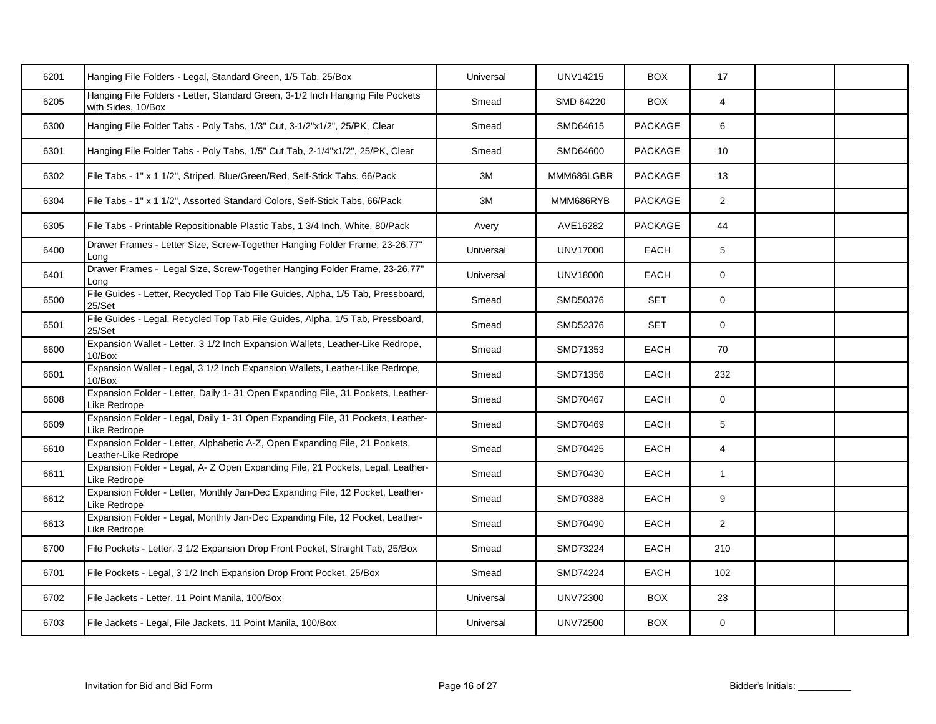| 6201 | Hanging File Folders - Legal, Standard Green, 1/5 Tab, 25/Box                                        | Universal | <b>UNV14215</b> | <b>BOX</b>     | 17                      |  |
|------|------------------------------------------------------------------------------------------------------|-----------|-----------------|----------------|-------------------------|--|
| 6205 | Hanging File Folders - Letter, Standard Green, 3-1/2 Inch Hanging File Pockets<br>with Sides, 10/Box | Smead     | SMD 64220       | <b>BOX</b>     | 4                       |  |
| 6300 | Hanging File Folder Tabs - Poly Tabs, 1/3" Cut, 3-1/2"x1/2", 25/PK, Clear                            | Smead     | SMD64615        | <b>PACKAGE</b> | 6                       |  |
| 6301 | Hanging File Folder Tabs - Poly Tabs, 1/5" Cut Tab, 2-1/4"x1/2", 25/PK, Clear                        | Smead     | SMD64600        | PACKAGE        | 10 <sup>1</sup>         |  |
| 6302 | File Tabs - 1" x 1 1/2", Striped, Blue/Green/Red, Self-Stick Tabs, 66/Pack                           | 3M        | MMM686LGBR      | <b>PACKAGE</b> | 13                      |  |
| 6304 | File Tabs - 1" x 1 1/2", Assorted Standard Colors, Self-Stick Tabs, 66/Pack                          | 3M        | MMM686RYB       | PACKAGE        | $\overline{2}$          |  |
| 6305 | File Tabs - Printable Repositionable Plastic Tabs, 1 3/4 Inch, White, 80/Pack                        | Avery     | AVE16282        | PACKAGE        | 44                      |  |
| 6400 | Drawer Frames - Letter Size, Screw-Together Hanging Folder Frame, 23-26.77"<br>Lona                  | Universal | <b>UNV17000</b> | EACH           | 5 <sup>5</sup>          |  |
| 6401 | Drawer Frames - Legal Size, Screw-Together Hanging Folder Frame, 23-26.77"<br>Long                   | Universal | <b>UNV18000</b> | <b>EACH</b>    | $\mathbf{0}$            |  |
| 6500 | File Guides - Letter, Recycled Top Tab File Guides, Alpha, 1/5 Tab, Pressboard,<br>25/Set            | Smead     | SMD50376        | <b>SET</b>     | 0                       |  |
| 6501 | File Guides - Legal, Recycled Top Tab File Guides, Alpha, 1/5 Tab, Pressboard,<br>25/Set             | Smead     | SMD52376        | <b>SET</b>     | $\mathbf 0$             |  |
| 6600 | Expansion Wallet - Letter, 3 1/2 Inch Expansion Wallets, Leather-Like Redrope,<br>10/Box             | Smead     | SMD71353        | EACH           | 70                      |  |
| 6601 | Expansion Wallet - Legal, 3 1/2 Inch Expansion Wallets, Leather-Like Redrope,<br>10/Box              | Smead     | SMD71356        | EACH           | 232                     |  |
| 6608 | Expansion Folder - Letter, Daily 1-31 Open Expanding File, 31 Pockets, Leather-<br>Like Redrope      | Smead     | SMD70467        | <b>EACH</b>    | $\mathbf 0$             |  |
| 6609 | Expansion Folder - Legal, Daily 1- 31 Open Expanding File, 31 Pockets, Leather-<br>Like Redrope      | Smead     | SMD70469        | <b>EACH</b>    | 5                       |  |
| 6610 | Expansion Folder - Letter, Alphabetic A-Z, Open Expanding File, 21 Pockets,<br>Leather-Like Redrope  | Smead     | SMD70425        | EACH           | $\overline{\mathbf{4}}$ |  |
| 6611 | Expansion Folder - Legal, A-Z Open Expanding File, 21 Pockets, Legal, Leather-<br>Like Redrope       | Smead     | SMD70430        | <b>EACH</b>    | $\mathbf{1}$            |  |
| 6612 | Expansion Folder - Letter, Monthly Jan-Dec Expanding File, 12 Pocket, Leather-<br>Like Redrope       | Smead     | SMD70388        | <b>EACH</b>    | 9                       |  |
| 6613 | Expansion Folder - Legal, Monthly Jan-Dec Expanding File, 12 Pocket, Leather-<br>Like Redrope        | Smead     | SMD70490        | <b>EACH</b>    | $\overline{2}$          |  |
| 6700 | File Pockets - Letter, 3 1/2 Expansion Drop Front Pocket, Straight Tab, 25/Box                       | Smead     | SMD73224        | EACH           | 210                     |  |
| 6701 | File Pockets - Legal, 3 1/2 Inch Expansion Drop Front Pocket, 25/Box                                 | Smead     | SMD74224        | EACH           | 102                     |  |
| 6702 | File Jackets - Letter, 11 Point Manila, 100/Box                                                      | Universal | <b>UNV72300</b> | <b>BOX</b>     | 23                      |  |
| 6703 | File Jackets - Legal, File Jackets, 11 Point Manila, 100/Box                                         | Universal | <b>UNV72500</b> | <b>BOX</b>     | 0                       |  |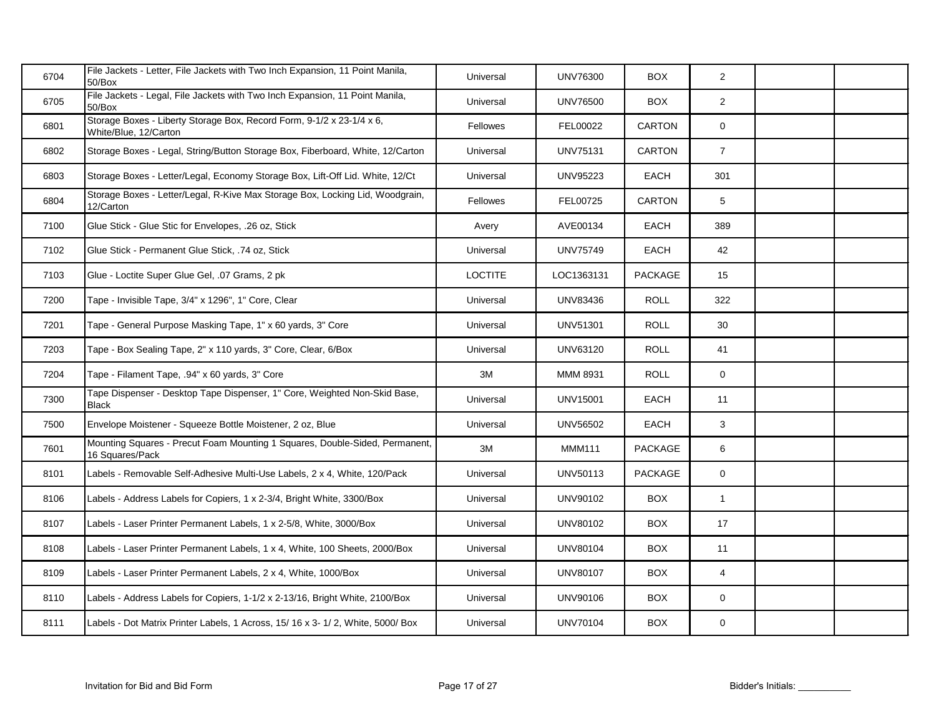| 6704 | File Jackets - Letter, File Jackets with Two Inch Expansion, 11 Point Manila,<br>50/Box        | Universal       | <b>UNV76300</b> | <b>BOX</b>     | $\overline{2}$ |  |
|------|------------------------------------------------------------------------------------------------|-----------------|-----------------|----------------|----------------|--|
| 6705 | File Jackets - Legal, File Jackets with Two Inch Expansion, 11 Point Manila,<br>50/Box         | Universal       | <b>UNV76500</b> | <b>BOX</b>     | $\overline{2}$ |  |
| 6801 | Storage Boxes - Liberty Storage Box, Record Form, 9-1/2 x 23-1/4 x 6,<br>White/Blue, 12/Carton | Fellowes        | FEL00022        | <b>CARTON</b>  | $\mathbf 0$    |  |
| 6802 | Storage Boxes - Legal, String/Button Storage Box, Fiberboard, White, 12/Carton                 | Universal       | <b>UNV75131</b> | CARTON         | $\overline{7}$ |  |
| 6803 | Storage Boxes - Letter/Legal, Economy Storage Box, Lift-Off Lid. White, 12/Ct                  | Universal       | <b>UNV95223</b> | <b>EACH</b>    | 301            |  |
| 6804 | Storage Boxes - Letter/Legal, R-Kive Max Storage Box, Locking Lid, Woodgrain,<br>12/Carton     | <b>Fellowes</b> | FEL00725        | <b>CARTON</b>  | 5              |  |
| 7100 | Glue Stick - Glue Stic for Envelopes, .26 oz, Stick                                            | Avery           | AVE00134        | <b>EACH</b>    | 389            |  |
| 7102 | Glue Stick - Permanent Glue Stick, .74 oz, Stick                                               | Universal       | <b>UNV75749</b> | <b>EACH</b>    | 42             |  |
| 7103 | Glue - Loctite Super Glue Gel, .07 Grams, 2 pk                                                 | <b>LOCTITE</b>  | LOC1363131      | <b>PACKAGE</b> | 15             |  |
| 7200 | Tape - Invisible Tape, 3/4" x 1296", 1" Core, Clear                                            | Universal       | <b>UNV83436</b> | <b>ROLL</b>    | 322            |  |
| 7201 | Tape - General Purpose Masking Tape, 1" x 60 yards, 3" Core                                    | Universal       | <b>UNV51301</b> | <b>ROLL</b>    | 30             |  |
| 7203 | Tape - Box Sealing Tape, 2" x 110 yards, 3" Core, Clear, 6/Box                                 | Universal       | UNV63120        | <b>ROLL</b>    | 41             |  |
| 7204 | Tape - Filament Tape, .94" x 60 yards, 3" Core                                                 | 3M              | MMM 8931        | <b>ROLL</b>    | $\mathbf 0$    |  |
| 7300 | Tape Dispenser - Desktop Tape Dispenser, 1" Core, Weighted Non-Skid Base,<br><b>Black</b>      | Universal       | <b>UNV15001</b> | <b>EACH</b>    | 11             |  |
| 7500 | Envelope Moistener - Squeeze Bottle Moistener, 2 oz, Blue                                      | Universal       | <b>UNV56502</b> | <b>EACH</b>    | 3              |  |
| 7601 | Mounting Squares - Precut Foam Mounting 1 Squares, Double-Sided, Permanent,<br>16 Squares/Pack | 3M              | <b>MMM111</b>   | <b>PACKAGE</b> | 6              |  |
| 8101 | Labels - Removable Self-Adhesive Multi-Use Labels, 2 x 4, White, 120/Pack                      | Universal       | UNV50113        | <b>PACKAGE</b> | $\overline{0}$ |  |
| 8106 | Labels - Address Labels for Copiers, 1 x 2-3/4, Bright White, 3300/Box                         | Universal       | UNV90102        | <b>BOX</b>     | $\mathbf{1}$   |  |
| 8107 | Labels - Laser Printer Permanent Labels, 1 x 2-5/8, White, 3000/Box                            | Universal       | UNV80102        | <b>BOX</b>     | 17             |  |
| 8108 | Labels - Laser Printer Permanent Labels, 1 x 4, White, 100 Sheets, 2000/Box                    | Universal       | <b>UNV80104</b> | <b>BOX</b>     | 11             |  |
| 8109 | Labels - Laser Printer Permanent Labels, 2 x 4, White, 1000/Box                                | Universal       | <b>UNV80107</b> | <b>BOX</b>     | $\overline{4}$ |  |
| 8110 | Labels - Address Labels for Copiers, 1-1/2 x 2-13/16, Bright White, 2100/Box                   | Universal       | UNV90106        | <b>BOX</b>     | $\mathbf 0$    |  |
| 8111 | Labels - Dot Matrix Printer Labels, 1 Across, 15/ 16 x 3- 1/ 2, White, 5000/ Box               | Universal       | <b>UNV70104</b> | <b>BOX</b>     | 0              |  |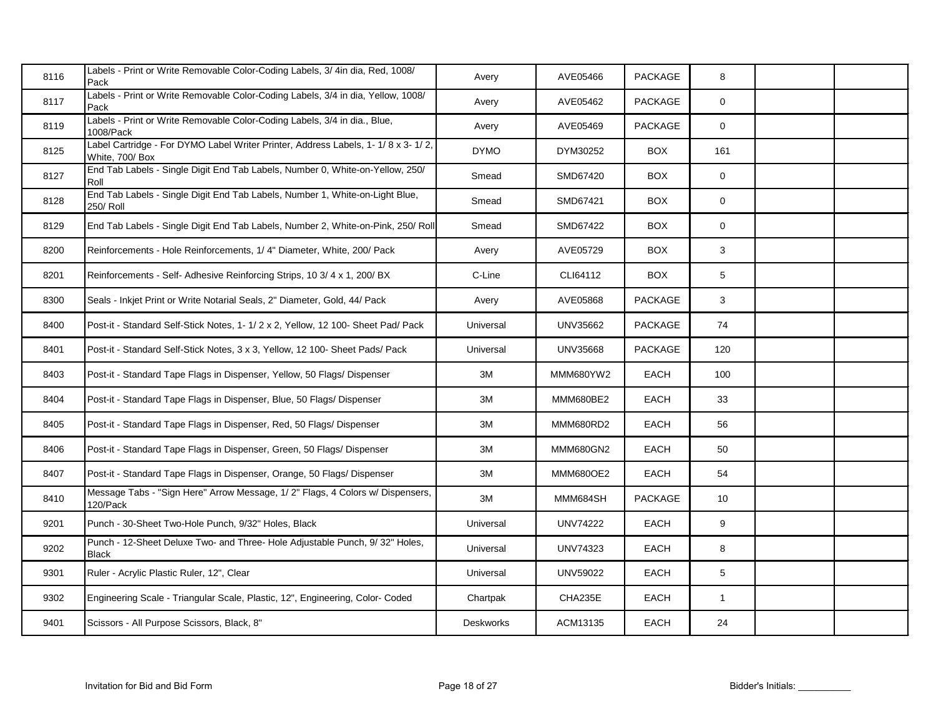| 8116 | Labels - Print or Write Removable Color-Coding Labels, 3/4in dia, Red, 1008/<br>Pack               | Avery            | AVE05466        | <b>PACKAGE</b> | 8               |  |
|------|----------------------------------------------------------------------------------------------------|------------------|-----------------|----------------|-----------------|--|
| 8117 | Labels - Print or Write Removable Color-Coding Labels, 3/4 in dia, Yellow, 1008/<br>Pack           | Avery            | AVE05462        | PACKAGE        | $\mathbf 0$     |  |
| 8119 | Labels - Print or Write Removable Color-Coding Labels, 3/4 in dia., Blue,<br>1008/Pack             | Avery            | AVE05469        | <b>PACKAGE</b> | $\mathbf 0$     |  |
| 8125 | Label Cartridge - For DYMO Label Writer Printer, Address Labels, 1-1/8 x 3-1/2,<br>White, 700/ Box | <b>DYMO</b>      | DYM30252        | <b>BOX</b>     | 161             |  |
| 8127 | End Tab Labels - Single Digit End Tab Labels, Number 0, White-on-Yellow, 250/<br>Roll              | Smead            | SMD67420        | <b>BOX</b>     | $\mathbf 0$     |  |
| 8128 | End Tab Labels - Single Digit End Tab Labels, Number 1, White-on-Light Blue,<br>250/ Roll          | Smead            | SMD67421        | <b>BOX</b>     | 0               |  |
| 8129 | End Tab Labels - Single Digit End Tab Labels, Number 2, White-on-Pink, 250/ Roll                   | Smead            | SMD67422        | <b>BOX</b>     | 0               |  |
| 8200 | Reinforcements - Hole Reinforcements, 1/4" Diameter, White, 200/ Pack                              | Avery            | AVE05729        | <b>BOX</b>     | 3               |  |
| 8201 | Reinforcements - Self- Adhesive Reinforcing Strips, 10 3/ 4 x 1, 200/ BX                           | C-Line           | CLI64112        | <b>BOX</b>     | 5               |  |
| 8300 | Seals - Inkjet Print or Write Notarial Seals, 2" Diameter, Gold, 44/ Pack                          | Avery            | AVE05868        | PACKAGE        | 3               |  |
| 8400 | Post-it - Standard Self-Stick Notes, 1-1/2 x 2, Yellow, 12 100- Sheet Pad/ Pack                    | Universal        | UNV35662        | <b>PACKAGE</b> | 74              |  |
| 8401 | Post-it - Standard Self-Stick Notes, 3 x 3, Yellow, 12 100- Sheet Pads/ Pack                       | Universal        | UNV35668        | PACKAGE        | 120             |  |
| 8403 | Post-it - Standard Tape Flags in Dispenser, Yellow, 50 Flags/ Dispenser                            | $3\mathsf{M}$    | MMM680YW2       | EACH           | 100             |  |
| 8404 | Post-it - Standard Tape Flags in Dispenser, Blue, 50 Flags/ Dispenser                              | 3M               | MMM680BE2       | <b>EACH</b>    | 33              |  |
| 8405 | Post-it - Standard Tape Flags in Dispenser, Red, 50 Flags/ Dispenser                               | $3\mathsf{M}$    | MMM680RD2       | <b>EACH</b>    | 56              |  |
| 8406 | Post-it - Standard Tape Flags in Dispenser, Green, 50 Flags/ Dispenser                             | $3\mathsf{M}$    | MMM680GN2       | <b>EACH</b>    | 50              |  |
| 8407 | Post-it - Standard Tape Flags in Dispenser, Orange, 50 Flags/ Dispenser                            | $3\mathsf{M}$    | MMM680OE2       | EACH           | 54              |  |
| 8410 | Message Tabs - "Sign Here" Arrow Message, 1/2" Flags, 4 Colors w/ Dispensers,<br>120/Pack          | $3\mathsf{M}$    | MMM684SH        | PACKAGE        | 10 <sup>°</sup> |  |
| 9201 | Punch - 30-Sheet Two-Hole Punch, 9/32" Holes, Black                                                | Universal        | <b>UNV74222</b> | EACH           | 9               |  |
| 9202 | Punch - 12-Sheet Deluxe Two- and Three- Hole Adjustable Punch, 9/32" Holes,<br><b>Black</b>        | Universal        | UNV74323        | EACH           | 8               |  |
| 9301 | Ruler - Acrylic Plastic Ruler, 12", Clear                                                          | Universal        | <b>UNV59022</b> | EACH           | $\overline{5}$  |  |
| 9302 | Engineering Scale - Triangular Scale, Plastic, 12", Engineering, Color- Coded                      | Chartpak         | CHA235E         | <b>EACH</b>    | $\mathbf{1}$    |  |
| 9401 | Scissors - All Purpose Scissors, Black, 8"                                                         | <b>Deskworks</b> | ACM13135        | EACH           | 24              |  |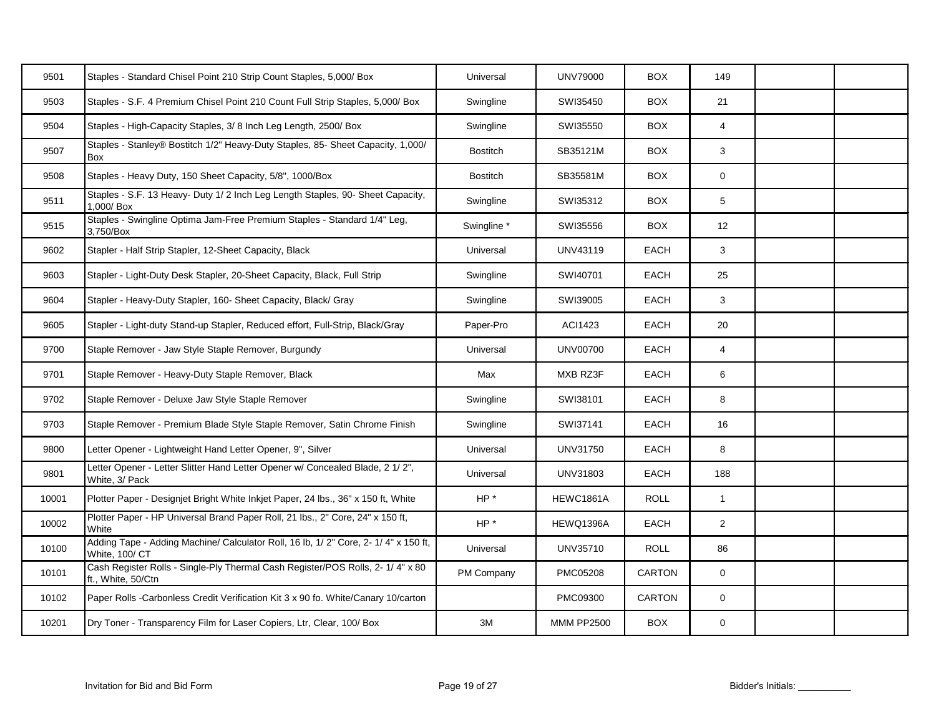| 9501  | Staples - Standard Chisel Point 210 Strip Count Staples, 5,000/ Box                                   | Universal       | <b>UNV79000</b>   | <b>BOX</b>    | 149             |  |
|-------|-------------------------------------------------------------------------------------------------------|-----------------|-------------------|---------------|-----------------|--|
| 9503  | Staples - S.F. 4 Premium Chisel Point 210 Count Full Strip Staples, 5,000/ Box                        | Swingline       | SWI35450          | <b>BOX</b>    | 21              |  |
| 9504  | Staples - High-Capacity Staples, 3/8 Inch Leg Length, 2500/ Box                                       | Swingline       | SWI35550          | <b>BOX</b>    | $\overline{4}$  |  |
| 9507  | Staples - Stanley® Bostitch 1/2" Heavy-Duty Staples, 85- Sheet Capacity, 1,000/<br>Box                | <b>Bostitch</b> | SB35121M          | <b>BOX</b>    | 3               |  |
| 9508  | Staples - Heavy Duty, 150 Sheet Capacity, 5/8", 1000/Box                                              | <b>Bostitch</b> | SB35581M          | <b>BOX</b>    | $\mathsf 0$     |  |
| 9511  | Staples - S.F. 13 Heavy- Duty 1/2 Inch Leg Length Staples, 90- Sheet Capacity,<br>1,000/ Box          | Swingline       | SWI35312          | <b>BOX</b>    | $5\overline{)}$ |  |
| 9515  | Staples - Swingline Optima Jam-Free Premium Staples - Standard 1/4" Leg,<br>3,750/Box                 | Swingline *     | SWI35556          | <b>BOX</b>    | 12              |  |
| 9602  | Stapler - Half Strip Stapler, 12-Sheet Capacity, Black                                                | Universal       | UNV43119          | EACH          | 3               |  |
| 9603  | Stapler - Light-Duty Desk Stapler, 20-Sheet Capacity, Black, Full Strip                               | Swingline       | SWI40701          | <b>EACH</b>   | 25              |  |
| 9604  | Stapler - Heavy-Duty Stapler, 160- Sheet Capacity, Black/ Gray                                        | Swingline       | SWI39005          | <b>EACH</b>   | 3               |  |
| 9605  | Stapler - Light-duty Stand-up Stapler, Reduced effort, Full-Strip, Black/Gray                         | Paper-Pro       | ACI1423           | EACH          | 20              |  |
| 9700  | Staple Remover - Jaw Style Staple Remover, Burgundy                                                   | Universal       | <b>UNV00700</b>   | EACH          | $\overline{4}$  |  |
| 9701  | Staple Remover - Heavy-Duty Staple Remover, Black                                                     | Max             | MXB RZ3F          | <b>EACH</b>   | 6               |  |
| 9702  | Staple Remover - Deluxe Jaw Style Staple Remover                                                      | Swingline       | SWI38101          | <b>EACH</b>   | 8               |  |
| 9703  | Staple Remover - Premium Blade Style Staple Remover, Satin Chrome Finish                              | Swingline       | SWI37141          | <b>EACH</b>   | 16              |  |
| 9800  | Letter Opener - Lightweight Hand Letter Opener, 9", Silver                                            | Universal       | UNV31750          | <b>EACH</b>   | 8               |  |
| 9801  | Letter Opener - Letter Slitter Hand Letter Opener w/ Concealed Blade, 2 1/ 2",<br>White, 3/ Pack      | Universal       | UNV31803          | EACH          | 188             |  |
| 10001 | Plotter Paper - Designjet Bright White Inkjet Paper, 24 lbs., 36" x 150 ft, White                     | HP*             | HEWC1861A         | <b>ROLL</b>   | $\mathbf{1}$    |  |
| 10002 | Plotter Paper - HP Universal Brand Paper Roll, 21 lbs., 2" Core, 24" x 150 ft,<br>White               | HP*             | HEWQ1396A         | EACH          | $\overline{2}$  |  |
| 10100 | Adding Tape - Adding Machine/ Calculator Roll, 16 lb, 1/2" Core, 2-1/4" x 150 ft,<br>White, 100/ CT   | Universal       | UNV35710          | <b>ROLL</b>   | 86              |  |
| 10101 | Cash Register Rolls - Single-Ply Thermal Cash Register/POS Rolls, 2- 1/ 4" x 80<br>ft., White, 50/Ctn | PM Company      | PMC05208          | <b>CARTON</b> | $\overline{0}$  |  |
| 10102 | Paper Rolls -Carbonless Credit Verification Kit 3 x 90 fo. White/Canary 10/carton                     |                 | PMC09300          | <b>CARTON</b> | $\mathbf 0$     |  |
| 10201 | Dry Toner - Transparency Film for Laser Copiers, Ltr, Clear, 100/ Box                                 | 3M              | <b>MMM PP2500</b> | <b>BOX</b>    | $\mathbf 0$     |  |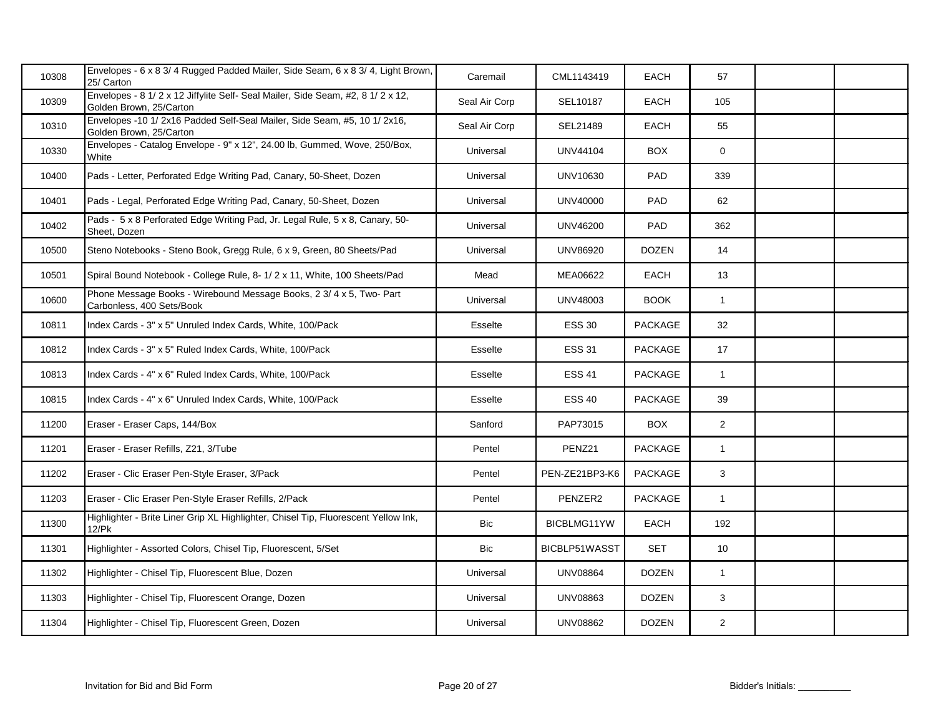| 10308 | Envelopes - 6 x 8 3/ 4 Rugged Padded Mailer, Side Seam, 6 x 8 3/ 4, Light Brown,<br>25/ Carton              | Caremail       | CML1143419      | <b>EACH</b>    | 57             |  |
|-------|-------------------------------------------------------------------------------------------------------------|----------------|-----------------|----------------|----------------|--|
| 10309 | Envelopes - 8 1/ 2 x 12 Jiffylite Self- Seal Mailer, Side Seam, #2, 8 1/ 2 x 12,<br>Golden Brown, 25/Carton | Seal Air Corp  | SEL10187        | EACH           | 105            |  |
| 10310 | Envelopes -10 1/ 2x16 Padded Self-Seal Mailer, Side Seam, #5, 10 1/ 2x16,<br>Golden Brown, 25/Carton        | Seal Air Corp  | SEL21489        | <b>EACH</b>    | 55             |  |
| 10330 | Envelopes - Catalog Envelope - 9" x 12", 24.00 lb, Gummed, Wove, 250/Box,<br>White                          | Universal      | <b>UNV44104</b> | <b>BOX</b>     | $\overline{0}$ |  |
| 10400 | Pads - Letter, Perforated Edge Writing Pad, Canary, 50-Sheet, Dozen                                         | Universal      | UNV10630        | PAD            | 339            |  |
| 10401 | Pads - Legal, Perforated Edge Writing Pad, Canary, 50-Sheet, Dozen                                          | Universal      | <b>UNV40000</b> | PAD            | 62             |  |
| 10402 | Pads - 5 x 8 Perforated Edge Writing Pad, Jr. Legal Rule, 5 x 8, Canary, 50-<br>Sheet, Dozen                | Universal      | <b>UNV46200</b> | PAD            | 362            |  |
| 10500 | Steno Notebooks - Steno Book, Gregg Rule, 6 x 9, Green, 80 Sheets/Pad                                       | Universal      | <b>UNV86920</b> | <b>DOZEN</b>   | 14             |  |
| 10501 | Spiral Bound Notebook - College Rule, 8- 1/ 2 x 11, White, 100 Sheets/Pad                                   | Mead           | MEA06622        | <b>EACH</b>    | 13             |  |
| 10600 | Phone Message Books - Wirebound Message Books, 2 3/ 4 x 5, Two- Part<br>Carbonless, 400 Sets/Book           | Universal      | UNV48003        | <b>BOOK</b>    | $\mathbf{1}$   |  |
| 10811 | Index Cards - 3" x 5" Unruled Index Cards, White, 100/Pack                                                  | Esselte        | <b>ESS 30</b>   | <b>PACKAGE</b> | 32             |  |
| 10812 | Index Cards - 3" x 5" Ruled Index Cards, White, 100/Pack                                                    | <b>Esselte</b> | <b>ESS 31</b>   | PACKAGE        | 17             |  |
| 10813 | Index Cards - 4" x 6" Ruled Index Cards, White, 100/Pack                                                    | <b>Esselte</b> | <b>ESS 41</b>   | PACKAGE        | $\mathbf{1}$   |  |
| 10815 | Index Cards - 4" x 6" Unruled Index Cards, White, 100/Pack                                                  | <b>Esselte</b> | <b>ESS 40</b>   | PACKAGE        | 39             |  |
| 11200 | Eraser - Eraser Caps, 144/Box                                                                               | Sanford        | PAP73015        | <b>BOX</b>     | $\overline{2}$ |  |
| 11201 | Eraser - Eraser Refills, Z21, 3/Tube                                                                        | Pentel         | PENZ21          | PACKAGE        | $\mathbf{1}$   |  |
| 11202 | Eraser - Clic Eraser Pen-Style Eraser, 3/Pack                                                               | Pentel         | PEN-ZE21BP3-K6  | PACKAGE        | 3              |  |
| 11203 | Eraser - Clic Eraser Pen-Style Eraser Refills, 2/Pack                                                       | Pentel         | PENZER2         | PACKAGE        | $\mathbf{1}$   |  |
| 11300 | Highlighter - Brite Liner Grip XL Highlighter, Chisel Tip, Fluorescent Yellow Ink,<br>12/Pk                 | Bic            | BICBLMG11YW     | EACH           | 192            |  |
| 11301 | Highlighter - Assorted Colors, Chisel Tip, Fluorescent, 5/Set                                               | <b>Bic</b>     | BICBLP51WASST   | <b>SET</b>     | 10             |  |
| 11302 | Highlighter - Chisel Tip, Fluorescent Blue, Dozen                                                           | Universal      | <b>UNV08864</b> | <b>DOZEN</b>   | $\mathbf{1}$   |  |
| 11303 | Highlighter - Chisel Tip, Fluorescent Orange, Dozen                                                         | Universal      | <b>UNV08863</b> | <b>DOZEN</b>   | 3              |  |
| 11304 | Highlighter - Chisel Tip, Fluorescent Green, Dozen                                                          | Universal      | <b>UNV08862</b> | <b>DOZEN</b>   | $\overline{a}$ |  |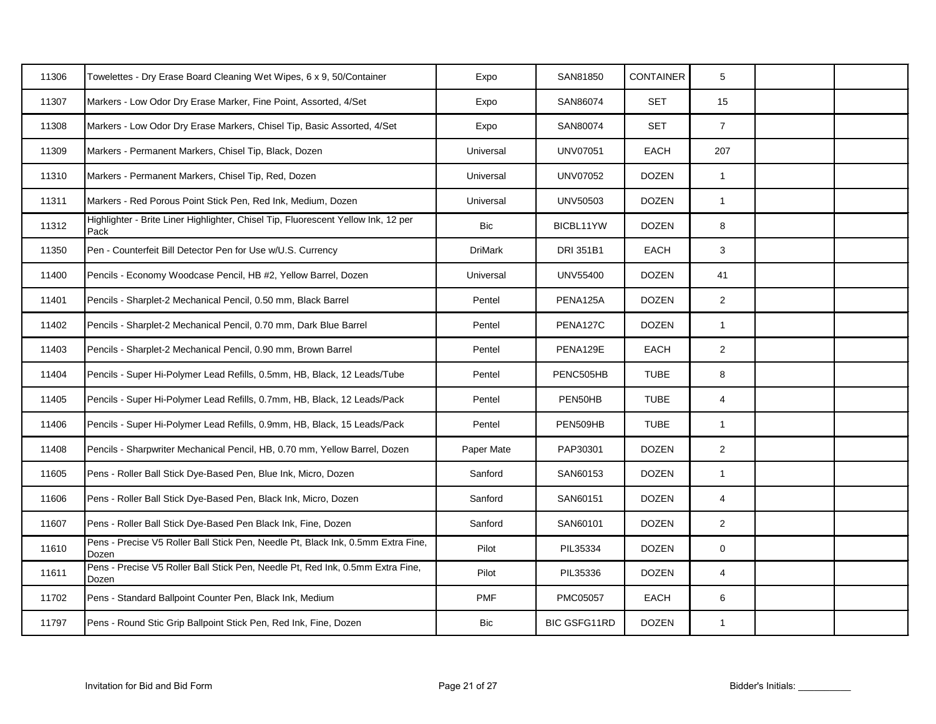| 11306 | Towelettes - Dry Erase Board Cleaning Wet Wipes, 6 x 9, 50/Container                      | Expo           | SAN81850            | <b>CONTAINER</b> | 5              |  |
|-------|-------------------------------------------------------------------------------------------|----------------|---------------------|------------------|----------------|--|
| 11307 | Markers - Low Odor Dry Erase Marker, Fine Point, Assorted, 4/Set                          | Expo           | SAN86074            | <b>SET</b>       | 15             |  |
| 11308 | Markers - Low Odor Dry Erase Markers, Chisel Tip, Basic Assorted, 4/Set                   | Expo           | SAN80074            | <b>SET</b>       | $\overline{7}$ |  |
| 11309 | Markers - Permanent Markers, Chisel Tip, Black, Dozen                                     | Universal      | <b>UNV07051</b>     | EACH             | 207            |  |
| 11310 | Markers - Permanent Markers, Chisel Tip, Red, Dozen                                       | Universal      | <b>UNV07052</b>     | <b>DOZEN</b>     | $\mathbf{1}$   |  |
| 11311 | Markers - Red Porous Point Stick Pen, Red Ink, Medium, Dozen                              | Universal      | <b>UNV50503</b>     | <b>DOZEN</b>     | $\mathbf{1}$   |  |
| 11312 | Highlighter - Brite Liner Highlighter, Chisel Tip, Fluorescent Yellow Ink, 12 per<br>Pack | Bic            | BICBL11YW           | <b>DOZEN</b>     | 8              |  |
| 11350 | Pen - Counterfeit Bill Detector Pen for Use w/U.S. Currency                               | <b>DriMark</b> | DRI 351B1           | EACH             | 3              |  |
| 11400 | Pencils - Economy Woodcase Pencil, HB #2, Yellow Barrel, Dozen                            | Universal      | <b>UNV55400</b>     | <b>DOZEN</b>     | 41             |  |
| 11401 | Pencils - Sharplet-2 Mechanical Pencil, 0.50 mm, Black Barrel                             | Pentel         | PENA125A            | <b>DOZEN</b>     | $\overline{2}$ |  |
| 11402 | Pencils - Sharplet-2 Mechanical Pencil, 0.70 mm, Dark Blue Barrel                         | Pentel         | PENA127C            | <b>DOZEN</b>     | $\mathbf{1}$   |  |
| 11403 | Pencils - Sharplet-2 Mechanical Pencil, 0.90 mm, Brown Barrel                             | Pentel         | PENA129E            | EACH             | $\overline{2}$ |  |
| 11404 | Pencils - Super Hi-Polymer Lead Refills, 0.5mm, HB, Black, 12 Leads/Tube                  | Pentel         | PENC505HB           | <b>TUBE</b>      | 8              |  |
| 11405 | Pencils - Super Hi-Polymer Lead Refills, 0.7mm, HB, Black, 12 Leads/Pack                  | Pentel         | PEN50HB             | <b>TUBE</b>      | $\overline{4}$ |  |
| 11406 | Pencils - Super Hi-Polymer Lead Refills, 0.9mm, HB, Black, 15 Leads/Pack                  | Pentel         | PEN509HB            | <b>TUBE</b>      | $\mathbf{1}$   |  |
| 11408 | Pencils - Sharpwriter Mechanical Pencil, HB, 0.70 mm, Yellow Barrel, Dozen                | Paper Mate     | PAP30301            | <b>DOZEN</b>     | $\overline{2}$ |  |
| 11605 | Pens - Roller Ball Stick Dye-Based Pen, Blue Ink, Micro, Dozen                            | Sanford        | SAN60153            | <b>DOZEN</b>     | $\mathbf{1}$   |  |
| 11606 | Pens - Roller Ball Stick Dye-Based Pen, Black Ink, Micro, Dozen                           | Sanford        | SAN60151            | <b>DOZEN</b>     | $\overline{4}$ |  |
| 11607 | Pens - Roller Ball Stick Dye-Based Pen Black Ink, Fine, Dozen                             | Sanford        | SAN60101            | <b>DOZEN</b>     | $\overline{2}$ |  |
| 11610 | Pens - Precise V5 Roller Ball Stick Pen, Needle Pt, Black Ink, 0.5mm Extra Fine,<br>Dozen | Pilot          | PIL35334            | <b>DOZEN</b>     | $\pmb{0}$      |  |
| 11611 | Pens - Precise V5 Roller Ball Stick Pen, Needle Pt, Red Ink, 0.5mm Extra Fine,<br>Dozen   | Pilot          | PIL35336            | <b>DOZEN</b>     | $\overline{4}$ |  |
| 11702 | Pens - Standard Ballpoint Counter Pen, Black Ink, Medium                                  | <b>PMF</b>     | PMC05057            | EACH             | 6              |  |
| 11797 | Pens - Round Stic Grip Ballpoint Stick Pen, Red Ink, Fine, Dozen                          | Bic            | <b>BIC GSFG11RD</b> | <b>DOZEN</b>     | $\mathbf{1}$   |  |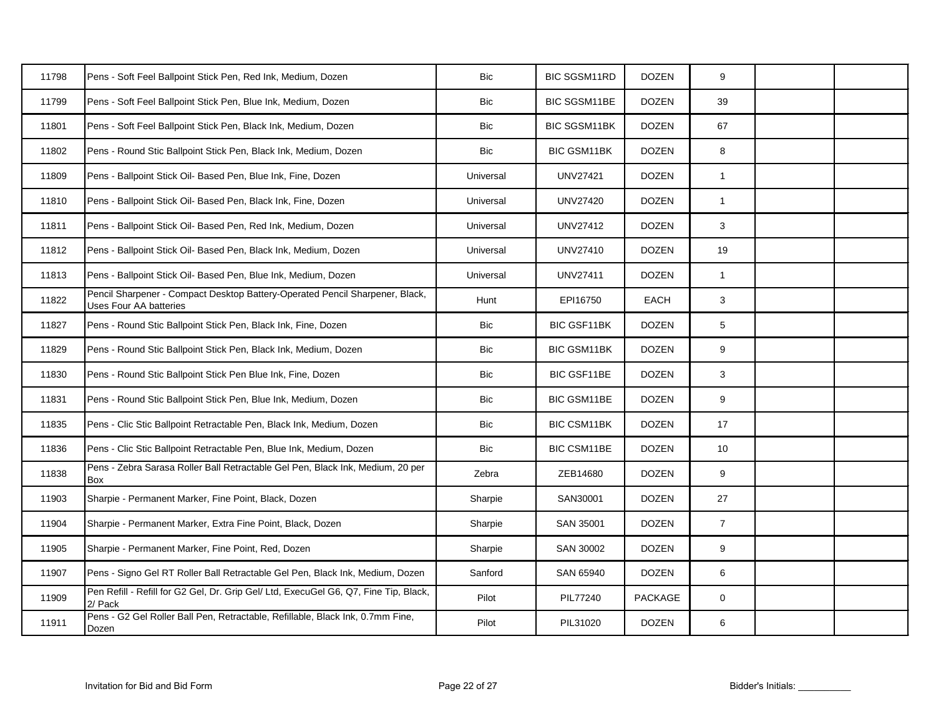| 11798 | Pens - Soft Feel Ballpoint Stick Pen, Red Ink, Medium, Dozen                                           | <b>Bic</b> | <b>BIC SGSM11RD</b> | <b>DOZEN</b>   | 9              |  |
|-------|--------------------------------------------------------------------------------------------------------|------------|---------------------|----------------|----------------|--|
| 11799 | Pens - Soft Feel Ballpoint Stick Pen, Blue Ink, Medium, Dozen                                          | Bic        | BIC SGSM11BE        | <b>DOZEN</b>   | 39             |  |
| 11801 | Pens - Soft Feel Ballpoint Stick Pen, Black Ink, Medium, Dozen                                         | Bic        | <b>BIC SGSM11BK</b> | <b>DOZEN</b>   | 67             |  |
| 11802 | Pens - Round Stic Ballpoint Stick Pen, Black Ink, Medium, Dozen                                        | <b>Bic</b> | <b>BIC GSM11BK</b>  | <b>DOZEN</b>   | 8              |  |
| 11809 | Pens - Ballpoint Stick Oil- Based Pen, Blue Ink, Fine, Dozen                                           | Universal  | <b>UNV27421</b>     | <b>DOZEN</b>   | $\mathbf{1}$   |  |
| 11810 | Pens - Ballpoint Stick Oil- Based Pen, Black Ink, Fine, Dozen                                          | Universal  | <b>UNV27420</b>     | <b>DOZEN</b>   | $\mathbf{1}$   |  |
| 11811 | Pens - Ballpoint Stick Oil- Based Pen, Red Ink, Medium, Dozen                                          | Universal  | UNV27412            | <b>DOZEN</b>   | 3              |  |
| 11812 | Pens - Ballpoint Stick Oil- Based Pen, Black Ink, Medium, Dozen                                        | Universal  | UNV27410            | <b>DOZEN</b>   | 19             |  |
| 11813 | Pens - Ballpoint Stick Oil- Based Pen, Blue Ink, Medium, Dozen                                         | Universal  | <b>UNV27411</b>     | <b>DOZEN</b>   | $\mathbf{1}$   |  |
| 11822 | Pencil Sharpener - Compact Desktop Battery-Operated Pencil Sharpener, Black,<br>Uses Four AA batteries | Hunt       | EPI16750            | <b>EACH</b>    | 3              |  |
| 11827 | Pens - Round Stic Ballpoint Stick Pen, Black Ink, Fine, Dozen                                          | Bic        | <b>BIC GSF11BK</b>  | <b>DOZEN</b>   | 5              |  |
| 11829 | Pens - Round Stic Ballpoint Stick Pen, Black Ink, Medium, Dozen                                        | Bic        | <b>BIC GSM11BK</b>  | <b>DOZEN</b>   | 9              |  |
| 11830 | Pens - Round Stic Ballpoint Stick Pen Blue Ink, Fine, Dozen                                            | Bic        | BIC GSF11BE         | <b>DOZEN</b>   | $\mathbf{3}$   |  |
| 11831 | Pens - Round Stic Ballpoint Stick Pen, Blue Ink, Medium, Dozen                                         | <b>Bic</b> | BIC GSM11BE         | <b>DOZEN</b>   | 9              |  |
| 11835 | Pens - Clic Stic Ballpoint Retractable Pen, Black Ink, Medium, Dozen                                   | <b>Bic</b> | <b>BIC CSM11BK</b>  | <b>DOZEN</b>   | 17             |  |
| 11836 | Pens - Clic Stic Ballpoint Retractable Pen, Blue Ink, Medium, Dozen                                    | <b>Bic</b> | BIC CSM11BE         | <b>DOZEN</b>   | $10\,$         |  |
| 11838 | Pens - Zebra Sarasa Roller Ball Retractable Gel Pen, Black Ink, Medium, 20 per<br>Box                  | Zebra      | ZEB14680            | <b>DOZEN</b>   | 9              |  |
| 11903 | Sharpie - Permanent Marker, Fine Point, Black, Dozen                                                   | Sharpie    | SAN30001            | <b>DOZEN</b>   | 27             |  |
| 11904 | Sharpie - Permanent Marker, Extra Fine Point, Black, Dozen                                             | Sharpie    | SAN 35001           | <b>DOZEN</b>   | $\overline{7}$ |  |
| 11905 | Sharpie - Permanent Marker, Fine Point, Red, Dozen                                                     | Sharpie    | SAN 30002           | <b>DOZEN</b>   | 9              |  |
| 11907 | Pens - Signo Gel RT Roller Ball Retractable Gel Pen, Black Ink, Medium, Dozen                          | Sanford    | SAN 65940           | <b>DOZEN</b>   | 6              |  |
| 11909 | Pen Refill - Refill for G2 Gel, Dr. Grip Gel/ Ltd, ExecuGel G6, Q7, Fine Tip, Black,<br>2/ Pack        | Pilot      | PIL77240            | <b>PACKAGE</b> | $\mathbf 0$    |  |
| 11911 | Pens - G2 Gel Roller Ball Pen, Retractable, Refillable, Black Ink, 0.7mm Fine,<br>Dozen                | Pilot      | PIL31020            | <b>DOZEN</b>   | 6              |  |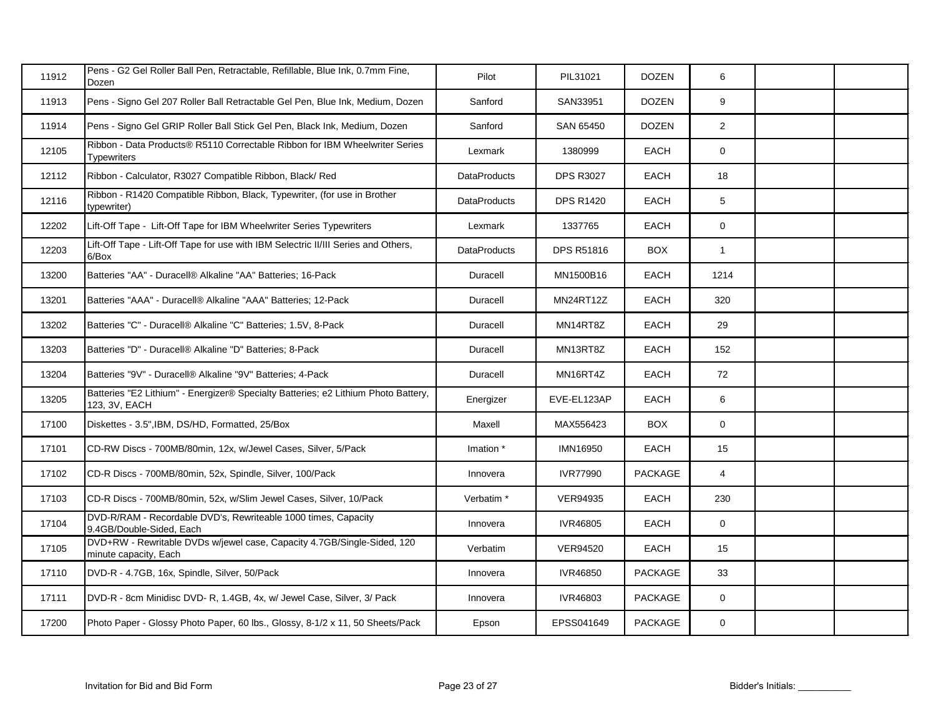| 11912 | Pens - G2 Gel Roller Ball Pen, Retractable, Refillable, Blue Ink, 0.7mm Fine,<br>Dozen              | Pilot               | PIL31021          | <b>DOZEN</b>   | 6              |  |
|-------|-----------------------------------------------------------------------------------------------------|---------------------|-------------------|----------------|----------------|--|
| 11913 | Pens - Signo Gel 207 Roller Ball Retractable Gel Pen, Blue Ink, Medium, Dozen                       | Sanford             | SAN33951          | <b>DOZEN</b>   | 9              |  |
| 11914 | Pens - Signo Gel GRIP Roller Ball Stick Gel Pen, Black Ink, Medium, Dozen                           | Sanford             | SAN 65450         | <b>DOZEN</b>   | $\overline{2}$ |  |
| 12105 | Ribbon - Data Products® R5110 Correctable Ribbon for IBM Wheelwriter Series<br><b>Typewriters</b>   | Lexmark             | 1380999           | EACH           | $\mathbf 0$    |  |
| 12112 | Ribbon - Calculator, R3027 Compatible Ribbon, Black/ Red                                            | <b>DataProducts</b> | <b>DPS R3027</b>  | EACH           | 18             |  |
| 12116 | Ribbon - R1420 Compatible Ribbon, Black, Typewriter, (for use in Brother<br>typewriter)             | <b>DataProducts</b> | <b>DPS R1420</b>  | EACH           | 5              |  |
| 12202 | Lift-Off Tape - Lift-Off Tape for IBM Wheelwriter Series Typewriters                                | Lexmark             | 1337765           | <b>EACH</b>    | $\mathbf 0$    |  |
| 12203 | Lift-Off Tape - Lift-Off Tape for use with IBM Selectric II/III Series and Others,<br>6/Box         | <b>DataProducts</b> | <b>DPS R51816</b> | <b>BOX</b>     | $\mathbf{1}$   |  |
| 13200 | Batteries "AA" - Duracell® Alkaline "AA" Batteries; 16-Pack                                         | Duracell            | MN1500B16         | <b>EACH</b>    | 1214           |  |
| 13201 | Batteries "AAA" - Duracell® Alkaline "AAA" Batteries; 12-Pack                                       | Duracell            | <b>MN24RT12Z</b>  | EACH           | 320            |  |
| 13202 | Batteries "C" - Duracell® Alkaline "C" Batteries; 1.5V, 8-Pack                                      | Duracell            | MN14RT8Z          | <b>EACH</b>    | 29             |  |
| 13203 | Batteries "D" - Duracell® Alkaline "D" Batteries; 8-Pack                                            | Duracell            | MN13RT8Z          | <b>EACH</b>    | 152            |  |
| 13204 | Batteries "9V" - Duracell® Alkaline "9V" Batteries; 4-Pack                                          | Duracell            | MN16RT4Z          | <b>EACH</b>    | 72             |  |
| 13205 | Batteries "E2 Lithium" - Energizer® Specialty Batteries; e2 Lithium Photo Battery,<br>123, 3V, EACH | Energizer           | EVE-EL123AP       | <b>EACH</b>    | 6              |  |
| 17100 | Diskettes - 3.5", IBM, DS/HD, Formatted, 25/Box                                                     | Maxell              | MAX556423         | <b>BOX</b>     | $\mathbf 0$    |  |
| 17101 | CD-RW Discs - 700MB/80min, 12x, w/Jewel Cases, Silver, 5/Pack                                       | Imation *           | <b>IMN16950</b>   | <b>EACH</b>    | 15             |  |
| 17102 | CD-R Discs - 700MB/80min, 52x, Spindle, Silver, 100/Pack                                            | Innovera            | <b>IVR77990</b>   | <b>PACKAGE</b> | $\overline{4}$ |  |
| 17103 | CD-R Discs - 700MB/80min, 52x, w/Slim Jewel Cases, Silver, 10/Pack                                  | Verbatim *          | <b>VER94935</b>   | EACH           | 230            |  |
| 17104 | DVD-R/RAM - Recordable DVD's, Rewriteable 1000 times, Capacity<br>9.4GB/Double-Sided, Each          | Innovera            | IVR46805          | <b>EACH</b>    | $\mathbf 0$    |  |
| 17105 | DVD+RW - Rewritable DVDs w/jewel case, Capacity 4.7GB/Single-Sided, 120<br>minute capacity, Each    | Verbatim            | <b>VER94520</b>   | <b>EACH</b>    | 15             |  |
| 17110 | DVD-R - 4.7GB, 16x, Spindle, Silver, 50/Pack                                                        | Innovera            | IVR46850          | <b>PACKAGE</b> | 33             |  |
| 17111 | DVD-R - 8cm Minidisc DVD- R, 1.4GB, 4x, w/ Jewel Case, Silver, 3/ Pack                              | Innovera            | IVR46803          | PACKAGE        | $\mathbf 0$    |  |
| 17200 | Photo Paper - Glossy Photo Paper, 60 lbs., Glossy, 8-1/2 x 11, 50 Sheets/Pack                       | Epson               | EPSS041649        | PACKAGE        | $\mathbf 0$    |  |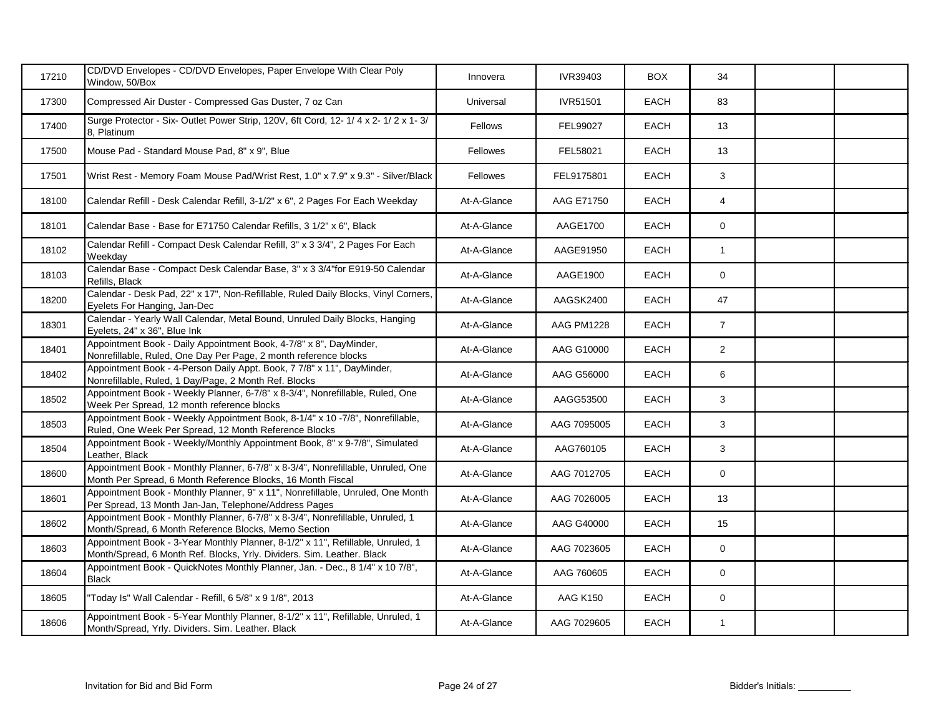| 17210 | CD/DVD Envelopes - CD/DVD Envelopes, Paper Envelope With Clear Poly<br>Window, 50/Box                                                                     | Innovera       | IVR39403        | <b>BOX</b>  | 34             |  |
|-------|-----------------------------------------------------------------------------------------------------------------------------------------------------------|----------------|-----------------|-------------|----------------|--|
| 17300 | Compressed Air Duster - Compressed Gas Duster, 7 oz Can                                                                                                   | Universal      | IVR51501        | EACH        | 83             |  |
| 17400 | Surge Protector - Six-Outlet Power Strip, 120V, 6ft Cord, 12-1/4 x 2-1/2 x 1-3/<br>8. Platinum                                                            | <b>Fellows</b> | FEL99027        | <b>EACH</b> | 13             |  |
| 17500 | Mouse Pad - Standard Mouse Pad, 8" x 9", Blue                                                                                                             | Fellowes       | FEL58021        | <b>EACH</b> | 13             |  |
| 17501 | Wrist Rest - Memory Foam Mouse Pad/Wrist Rest, 1.0" x 7.9" x 9.3" - Silver/Black                                                                          | Fellowes       | FEL9175801      | EACH        | 3              |  |
| 18100 | Calendar Refill - Desk Calendar Refill, 3-1/2" x 6", 2 Pages For Each Weekday                                                                             | At-A-Glance    | AAG E71750      | <b>EACH</b> | $\overline{4}$ |  |
| 18101 | Calendar Base - Base for E71750 Calendar Refills, 3 1/2" x 6", Black                                                                                      | At-A-Glance    | AAGE1700        | EACH        | $\mathbf 0$    |  |
| 18102 | Calendar Refill - Compact Desk Calendar Refill, 3" x 3 3/4", 2 Pages For Each<br>Weekdav                                                                  | At-A-Glance    | AAGE91950       | EACH        | $\mathbf{1}$   |  |
| 18103 | Calendar Base - Compact Desk Calendar Base, 3" x 3 3/4"for E919-50 Calendar<br>Refills, Black                                                             | At-A-Glance    | AAGE1900        | <b>EACH</b> | 0              |  |
| 18200 | Calendar - Desk Pad, 22" x 17", Non-Refillable, Ruled Daily Blocks, Vinyl Corners,<br>Eyelets For Hanging, Jan-Dec                                        | At-A-Glance    | AAGSK2400       | EACH        | 47             |  |
| 18301 | Calendar - Yearly Wall Calendar, Metal Bound, Unruled Daily Blocks, Hanging<br>Eyelets, 24" x 36", Blue Ink                                               | At-A-Glance    | AAG PM1228      | <b>EACH</b> | $\overline{7}$ |  |
| 18401 | Appointment Book - Daily Appointment Book, 4-7/8" x 8", DayMinder,<br>Nonrefillable, Ruled, One Day Per Page, 2 month reference blocks                    | At-A-Glance    | AAG G10000      | <b>EACH</b> | $\overline{2}$ |  |
| 18402 | Appointment Book - 4-Person Daily Appt. Book, 7 7/8" x 11", DayMinder,<br>Nonrefillable, Ruled, 1 Day/Page, 2 Month Ref. Blocks                           | At-A-Glance    | AAG G56000      | EACH        | 6              |  |
| 18502 | Appointment Book - Weekly Planner, 6-7/8" x 8-3/4", Nonrefillable, Ruled, One<br>Week Per Spread, 12 month reference blocks                               | At-A-Glance    | AAGG53500       | <b>EACH</b> | 3              |  |
| 18503 | Appointment Book - Weekly Appointment Book, 8-1/4" x 10 -7/8", Nonrefillable,<br>Ruled, One Week Per Spread, 12 Month Reference Blocks                    | At-A-Glance    | AAG 7095005     | <b>EACH</b> | 3              |  |
| 18504 | Appointment Book - Weekly/Monthly Appointment Book, 8" x 9-7/8", Simulated<br>Leather, Black                                                              | At-A-Glance    | AAG760105       | <b>EACH</b> | 3              |  |
| 18600 | Appointment Book - Monthly Planner, 6-7/8" x 8-3/4", Nonrefillable, Unruled, One<br>Month Per Spread, 6 Month Reference Blocks, 16 Month Fiscal           | At-A-Glance    | AAG 7012705     | <b>EACH</b> | $\mathbf 0$    |  |
| 18601 | Appointment Book - Monthly Planner, 9" x 11", Nonrefillable, Unruled, One Month<br>Per Spread, 13 Month Jan-Jan, Telephone/Address Pages                  | At-A-Glance    | AAG 7026005     | EACH        | 13             |  |
| 18602 | Appointment Book - Monthly Planner, 6-7/8" x 8-3/4", Nonrefillable, Unruled, 1<br>Month/Spread, 6 Month Reference Blocks, Memo Section                    | At-A-Glance    | AAG G40000      | EACH        | 15             |  |
| 18603 | Appointment Book - 3-Year Monthly Planner, 8-1/2" x 11", Refillable, Unruled, 1<br>Month/Spread, 6 Month Ref. Blocks, Yrly. Dividers. Sim. Leather. Black | At-A-Glance    | AAG 7023605     | EACH        | 0              |  |
| 18604 | Appointment Book - QuickNotes Monthly Planner, Jan. - Dec., 8 1/4" x 10 7/8",<br><b>Black</b>                                                             | At-A-Glance    | AAG 760605      | <b>EACH</b> | $\mathbf 0$    |  |
| 18605 | 'Today Is" Wall Calendar - Refill, 6 5/8" x 9 1/8", 2013                                                                                                  | At-A-Glance    | <b>AAG K150</b> | <b>EACH</b> | $\mathbf 0$    |  |
| 18606 | Appointment Book - 5-Year Monthly Planner, 8-1/2" x 11", Refillable, Unruled, 1<br>Month/Spread, Yrly. Dividers. Sim. Leather. Black                      | At-A-Glance    | AAG 7029605     | <b>EACH</b> | $\mathbf{1}$   |  |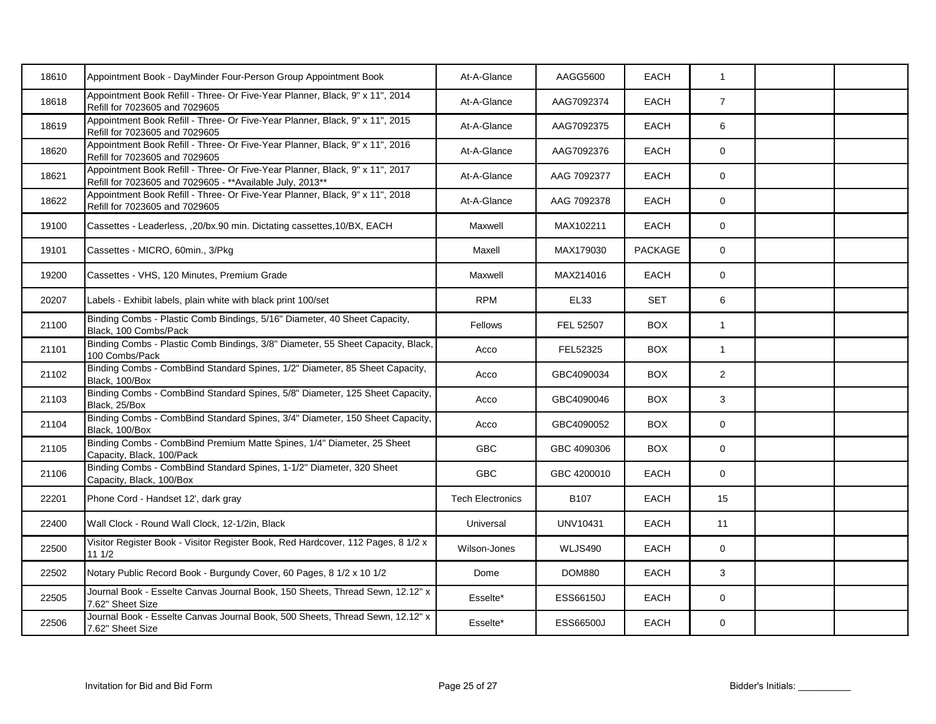| 18610 | Appointment Book - DayMinder Four-Person Group Appointment Book                                                                            | At-A-Glance             | AAGG5600         | EACH           | $\mathbf{1}$   |  |
|-------|--------------------------------------------------------------------------------------------------------------------------------------------|-------------------------|------------------|----------------|----------------|--|
| 18618 | Appointment Book Refill - Three- Or Five-Year Planner, Black, 9" x 11", 2014<br>Refill for 7023605 and 7029605                             | At-A-Glance             | AAG7092374       | EACH           | $\overline{7}$ |  |
| 18619 | Appointment Book Refill - Three- Or Five-Year Planner, Black, 9" x 11", 2015<br>Refill for 7023605 and 7029605                             | At-A-Glance             | AAG7092375       | EACH           | 6              |  |
| 18620 | Appointment Book Refill - Three- Or Five-Year Planner, Black, 9" x 11", 2016<br>Refill for 7023605 and 7029605                             | At-A-Glance             | AAG7092376       | EACH           | 0              |  |
| 18621 | Appointment Book Refill - Three- Or Five-Year Planner, Black, 9" x 11", 2017<br>Refill for 7023605 and 7029605 - ** Available July, 2013** | At-A-Glance             | AAG 7092377      | EACH           | 0              |  |
| 18622 | Appointment Book Refill - Three- Or Five-Year Planner, Black, 9" x 11", 2018<br>Refill for 7023605 and 7029605                             | At-A-Glance             | AAG 7092378      | EACH           | $\mathbf 0$    |  |
| 19100 | Cassettes - Leaderless, ,20/bx.90 min. Dictating cassettes,10/BX, EACH                                                                     | Maxwell                 | MAX102211        | EACH           | 0              |  |
| 19101 | Cassettes - MICRO, 60min., 3/Pkg                                                                                                           | Maxell                  | MAX179030        | <b>PACKAGE</b> | $\mathbf 0$    |  |
| 19200 | Cassettes - VHS, 120 Minutes, Premium Grade                                                                                                | Maxwell                 | MAX214016        | EACH           | 0              |  |
| 20207 | Labels - Exhibit labels, plain white with black print 100/set                                                                              | <b>RPM</b>              | <b>EL33</b>      | <b>SET</b>     | 6              |  |
| 21100 | Binding Combs - Plastic Comb Bindings, 5/16" Diameter, 40 Sheet Capacity,<br>Black, 100 Combs/Pack                                         | Fellows                 | FEL 52507        | <b>BOX</b>     | $\mathbf{1}$   |  |
| 21101 | Binding Combs - Plastic Comb Bindings, 3/8" Diameter, 55 Sheet Capacity, Black,<br>100 Combs/Pack                                          | Acco                    | FEL52325         | <b>BOX</b>     | $\mathbf{1}$   |  |
| 21102 | Binding Combs - CombBind Standard Spines, 1/2" Diameter, 85 Sheet Capacity,<br>Black, 100/Box                                              | Acco                    | GBC4090034       | <b>BOX</b>     | $\overline{2}$ |  |
| 21103 | Binding Combs - CombBind Standard Spines, 5/8" Diameter, 125 Sheet Capacity,<br>Black, 25/Box                                              | Acco                    | GBC4090046       | <b>BOX</b>     | 3              |  |
| 21104 | Binding Combs - CombBind Standard Spines, 3/4" Diameter, 150 Sheet Capacity,<br>Black, 100/Box                                             | Acco                    | GBC4090052       | <b>BOX</b>     | 0              |  |
| 21105 | Binding Combs - CombBind Premium Matte Spines, 1/4" Diameter, 25 Sheet<br>Capacity, Black, 100/Pack                                        | <b>GBC</b>              | GBC 4090306      | <b>BOX</b>     | 0              |  |
| 21106 | Binding Combs - CombBind Standard Spines, 1-1/2" Diameter, 320 Sheet<br>Capacity, Black, 100/Box                                           | <b>GBC</b>              | GBC 4200010      | <b>EACH</b>    | 0              |  |
| 22201 | Phone Cord - Handset 12', dark gray                                                                                                        | <b>Tech Electronics</b> | B <sub>107</sub> | <b>EACH</b>    | 15             |  |
| 22400 | Wall Clock - Round Wall Clock, 12-1/2in, Black                                                                                             | Universal               | <b>UNV10431</b>  | <b>EACH</b>    | 11             |  |
| 22500 | Visitor Register Book - Visitor Register Book, Red Hardcover, 112 Pages, 8 1/2 x<br>111/2                                                  | Wilson-Jones            | WLJS490          | EACH           | 0              |  |
| 22502 | Notary Public Record Book - Burgundy Cover, 60 Pages, 8 1/2 x 10 1/2                                                                       | Dome                    | <b>DOM880</b>    | EACH           | 3              |  |
| 22505 | Journal Book - Esselte Canvas Journal Book, 150 Sheets, Thread Sewn, 12.12" x<br>7.62" Sheet Size                                          | Esselte*                | ESS66150J        | EACH           | $\mathbf 0$    |  |
| 22506 | Journal Book - Esselte Canvas Journal Book, 500 Sheets, Thread Sewn, 12.12" x<br>7.62" Sheet Size                                          | Esselte*                | ESS66500J        | EACH           | 0              |  |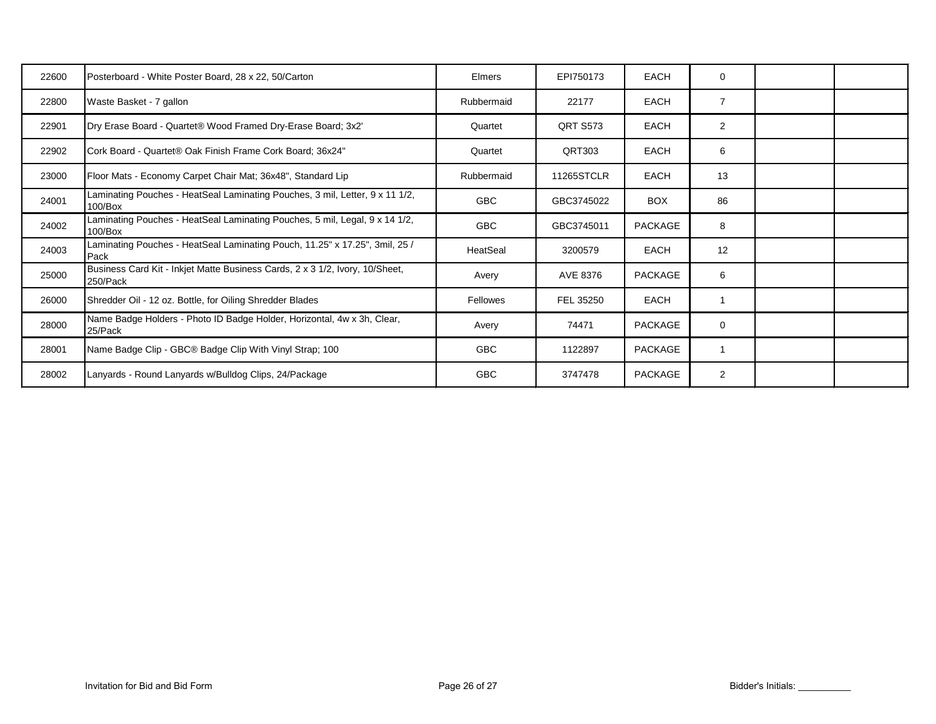| 22600 | Posterboard - White Poster Board, 28 x 22, 50/Carton                                       | Elmers     | EPI750173         | <b>EACH</b>    | 0              |  |
|-------|--------------------------------------------------------------------------------------------|------------|-------------------|----------------|----------------|--|
| 22800 | Waste Basket - 7 gallon                                                                    | Rubbermaid | 22177             | <b>EACH</b>    | $\overline{7}$ |  |
| 22901 | Dry Erase Board - Quartet® Wood Framed Dry-Erase Board; 3x2'                               | Quartet    | <b>ORT S573</b>   | <b>EACH</b>    | 2              |  |
| 22902 | Cork Board - Quartet® Oak Finish Frame Cork Board; 36x24"                                  | Quartet    | QRT303            | <b>EACH</b>    | 6              |  |
| 23000 | Floor Mats - Economy Carpet Chair Mat; 36x48", Standard Lip                                | Rubbermaid | <b>11265STCLR</b> | <b>EACH</b>    | 13             |  |
| 24001 | Laminating Pouches - HeatSeal Laminating Pouches, 3 mil, Letter, 9 x 11 1/2,<br>$100$ /Box | <b>GBC</b> | GBC3745022        | <b>BOX</b>     | 86             |  |
| 24002 | Laminating Pouches - HeatSeal Laminating Pouches, 5 mil, Legal, 9 x 14 1/2,<br>$100/B$ ox  | <b>GBC</b> | GBC3745011        | PACKAGE        | 8              |  |
| 24003 | Laminating Pouches - HeatSeal Laminating Pouch, 11.25" x 17.25", 3mil, 25 /<br>Pack        | HeatSeal   | 3200579           | <b>EACH</b>    | 12             |  |
| 25000 | Business Card Kit - Inkjet Matte Business Cards, 2 x 3 1/2, Ivory, 10/Sheet,<br>250/Pack   | Avery      | AVE 8376          | PACKAGE        | 6              |  |
| 26000 | Shredder Oil - 12 oz. Bottle, for Oiling Shredder Blades                                   | Fellowes   | FEL 35250         | <b>EACH</b>    |                |  |
| 28000 | Name Badge Holders - Photo ID Badge Holder, Horizontal, 4w x 3h, Clear,<br>25/Pack         | Avery      | 74471             | PACKAGE        | $\mathbf 0$    |  |
| 28001 | Name Badge Clip - GBC® Badge Clip With Vinyl Strap; 100                                    | <b>GBC</b> | 1122897           | <b>PACKAGE</b> |                |  |
| 28002 | Lanyards - Round Lanyards w/Bulldog Clips, 24/Package                                      | <b>GBC</b> | 3747478           | PACKAGE        | $\overline{2}$ |  |